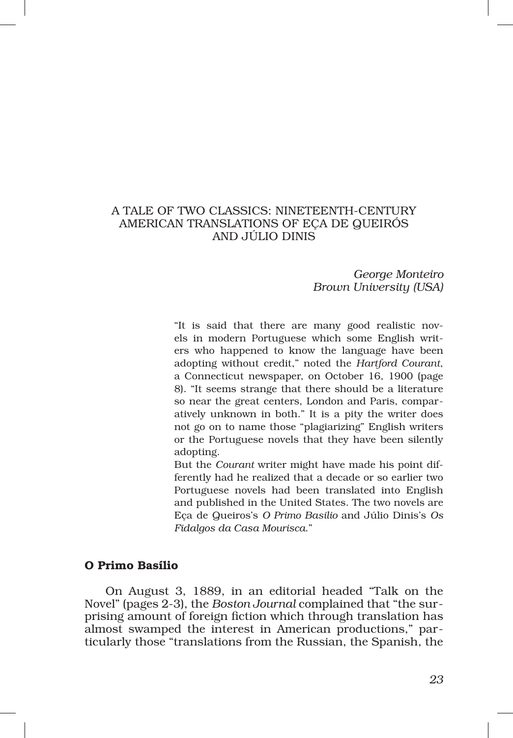# A TALE OF TWO CLASSICS: NINETEENTH‑CENTURY AMERICAN TRANSLATIONS OF EÇA DE QUEIRÓS AND JÚLIO DINIS

*George Monteiro Brown University (USA)*

"It is said that there are many good realistic nov‑ els in modern Portuguese which some English writers who happened to know the language have been adopting without credit," noted the *Hartford Courant*, a Connecticut newspaper, on October 16, 1900 (page 8). "It seems strange that there should be a literature so near the great centers, London and Paris, comparatively unknown in both." It is a pity the writer does not go on to name those "plagiarizing" English writers or the Portuguese novels that they have been silently adopting.

But the *Courant* writer might have made his point differently had he realized that a decade or so earlier two Portuguese novels had been translated into English and published in the United States. The two novels are Eça de Queiros's *O Primo Basilio* and Júlio Dinis's *Os Fidalgos da Casa Mourisca*."

### O Primo Basílio

On August 3, 1889, in an editorial headed "Talk on the Novel" (pages 2‑3), the *Boston Journal* complained that "the sur‑ prising amount of foreign fiction which through translation has almost swamped the interest in American productions," particularly those "translations from the Russian, the Spanish, the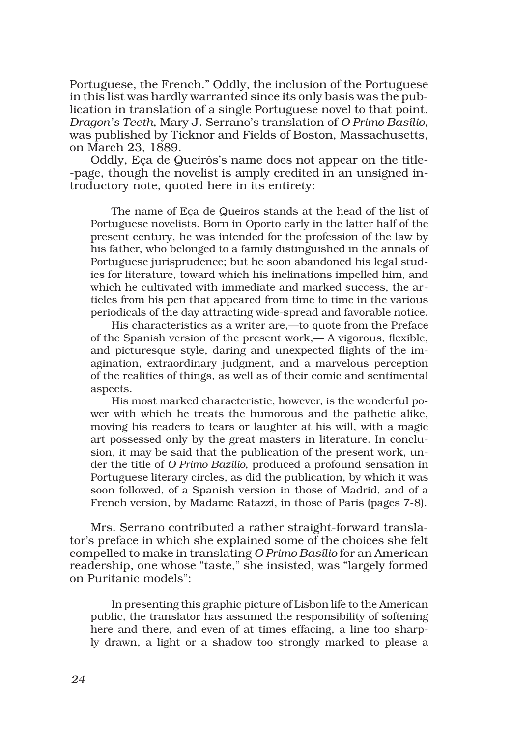Portuguese, the French." Oddly, the inclusion of the Portuguese in this list was hardly warranted since its only basis was the publication in translation of a single Portuguese novel to that point. *Dragon's Teeth*, Mary J. Serrano's translation of *O Primo Basílio*, was published by Ticknor and Fields of Boston, Massachusetts, on March 23, 1889.

Oddly, Eca de Queirós's name does not appear on the title-‑page, though the novelist is amply credited in an unsigned in‑ troductory note, quoted here in its entirety:

The name of Eça de Queiros stands at the head of the list of Portuguese novelists. Born in Oporto early in the latter half of the present century, he was intended for the profession of the law by his father, who belonged to a family distinguished in the annals of Portuguese jurisprudence; but he soon abandoned his legal studies for literature, toward which his inclinations impelled him, and which he cultivated with immediate and marked success, the articles from his pen that appeared from time to time in the various periodicals of the day attracting wide‑spread and favorable notice.

His characteristics as a writer are,—to quote from the Preface of the Spanish version of the present work,— A vigorous, flexible, and picturesque style, daring and unexpected flights of the imagination, extraordinary judgment, and a marvelous perception of the realities of things, as well as of their comic and sentimental aspects.

His most marked characteristic, however, is the wonderful power with which he treats the humorous and the pathetic alike, moving his readers to tears or laughter at his will, with a magic art possessed only by the great masters in literature. In conclusion, it may be said that the publication of the present work, under the title of *O Primo Bazilio*, produced a profound sensation in Portuguese literary circles, as did the publication, by which it was soon followed, of a Spanish version in those of Madrid, and of a French version, by Madame Ratazzi, in those of Paris (pages 7‑8).

Mrs. Serrano contributed a rather straight-forward translator's preface in which she explained some of the choices she felt compelled to make in translating *O Primo Basílio* for an American readership, one whose "taste," she insisted, was "largely formed on Puritanic models":

In presenting this graphic picture of Lisbon life to the American public, the translator has assumed the responsibility of softening here and there, and even of at times effacing, a line too sharply drawn, a light or a shadow too strongly marked to please a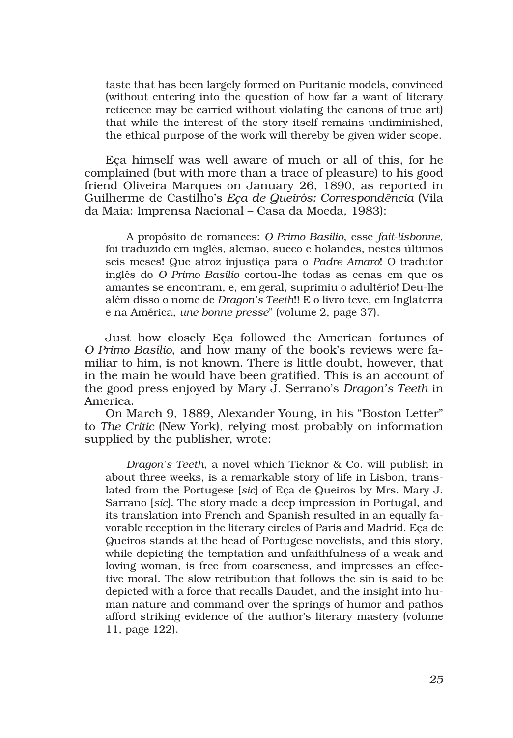taste that has been largely formed on Puritanic models, convinced (without entering into the question of how far a want of literary reticence may be carried without violating the canons of true art) that while the interest of the story itself remains undiminished, the ethical purpose of the work will thereby be given wider scope.

Eça himself was well aware of much or all of this, for he complained (but with more than a trace of pleasure) to his good friend Oliveira Marques on January 26, 1890, as reported in Guilherme de Castilho's *Eça de Queirós: Correspondência* (Vila da Maia: Imprensa Nacional – Casa da Moeda, 1983):

A propósito de romances: *O Primo Basílio*, esse *fait‑lisbonne*, foi traduzido em inglês, alemão, sueco e holandês, nestes últimos seis meses! Que atroz injustiça para o *Padre Amaro*! O tradutor inglês do *O Primo Basílio* cortou‑lhe todas as cenas em que os amantes se encontram, e, em geral, suprimiu o adultério! Deu‑lhe além disso o nome de *Dragon's Teeth*!! E o livro teve, em Inglaterra e na América, *une bonne presse*" (volume 2, page 37).

Just how closely Eça followed the American fortunes of *O Primo Basílio*, and how many of the book's reviews were familiar to him, is not known. There is little doubt, however, that in the main he would have been gratified. This is an account of the good press enjoyed by Mary J. Serrano's *Dragon's Teeth* in America.

On March 9, 1889, Alexander Young, in his "Boston Letter" to *The Critic* (New York), relying most probably on information supplied by the publisher, wrote:

*Dragon's Teeth*, a novel which Ticknor & Co. will publish in about three weeks, is a remarkable story of life in Lisbon, translated from the Portugese [*sic*] of Eça de Queiros by Mrs. Mary J. Sarrano [*sic*]. The story made a deep impression in Portugal, and its translation into French and Spanish resulted in an equally favorable reception in the literary circles of Paris and Madrid. Eça de Queiros stands at the head of Portugese novelists, and this story, while depicting the temptation and unfaithfulness of a weak and loving woman, is free from coarseness, and impresses an effec tive moral. The slow retribution that follows the sin is said to be depicted with a force that recalls Daudet, and the insight into human nature and command over the springs of humor and pathos afford striking evidence of the author's literary mastery (volume 11, page 122).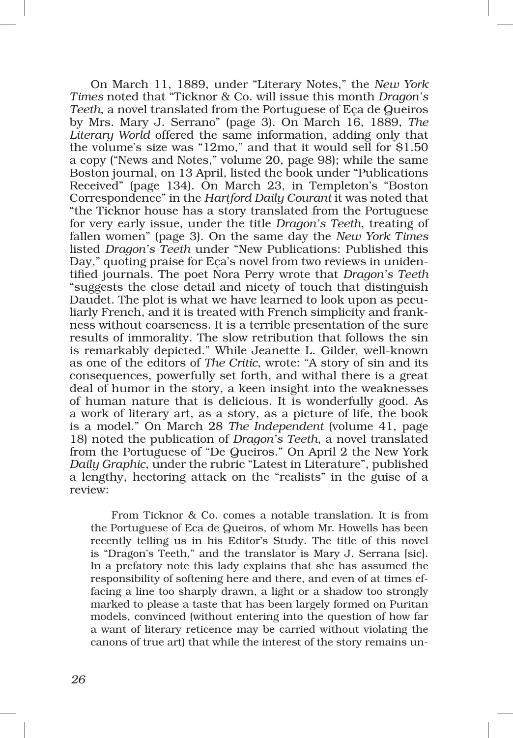On March 11, 1889, under "Literary Notes," the *New York Times* noted that "Ticknor & Co. will issue this month *Dragon's Teeth*, a novel translated from the Portuguese of Eça de Queiros by Mrs. Mary J. Serrano" (page 3). On March 16, 1889, *The Literary World* offered the same information, adding only that the volume's size was "12mo," and that it would sell for \$1.50 a copy ("News and Notes," volume 20, page 98); while the same Boston journal, on 13 April, listed the book under "Publications Received" (page 134). On March 23, in Templeton's "Boston Correspondence" in the *Hartford Daily Courant* it was noted that "the Ticknor house has a story translated from the Portuguese for very early issue, under the title *Dragon's Teeth*, treating of fallen women" (page 3). On the same day the *New York Times* listed *Dragon's Teeth* under "New Publications: Published this Day," quoting praise for Eça's novel from two reviews in unidentified journals. The poet Nora Perry wrote that *Dragon's Teeth* "suggests the close detail and nicety of touch that distinguish Daudet. The plot is what we have learned to look upon as peculiarly French, and it is treated with French simplicity and frank‑ ness without coarseness. It is a terrible presentation of the sure results of immorality. The slow retribution that follows the sin is remarkably depicted." While Jeanette L. Gilder, well‑known as one of the editors of *The Critic*, wrote: "A story of sin and its consequences, powerfully set forth, and withal there is a great deal of humor in the story, a keen insight into the weaknesses of human nature that is delicious. It is wonderfully good. As a work of literary art, as a story, as a picture of life, the book is a model." On March 28 *The Independent* (volume 41, page 18) noted the publication of *Dragon's Teeth*, a novel translated from the Portuguese of "De Queiros." On April 2 the New York *Daily Graphic*, under the rubric "Latest in Literature", published a lengthy, hectoring attack on the "realists" in the guise of a review:

From Ticknor & Co. comes a notable translation. It is from the Portuguese of Eca de Queiros, of whom Mr. Howells has been recently telling us in his Editor's Study. The title of this novel is "Dragon's Teeth," and the translator is Mary J. Serrana [sic]. In a prefatory note this lady explains that she has assumed the responsibility of softening here and there, and even of at times effacing a line too sharply drawn, a light or a shadow too strongly marked to please a taste that has been largely formed on Puritan models, convinced (without entering into the question of how far a want of literary reticence may be carried without violating the canons of true art) that while the interest of the story remains un-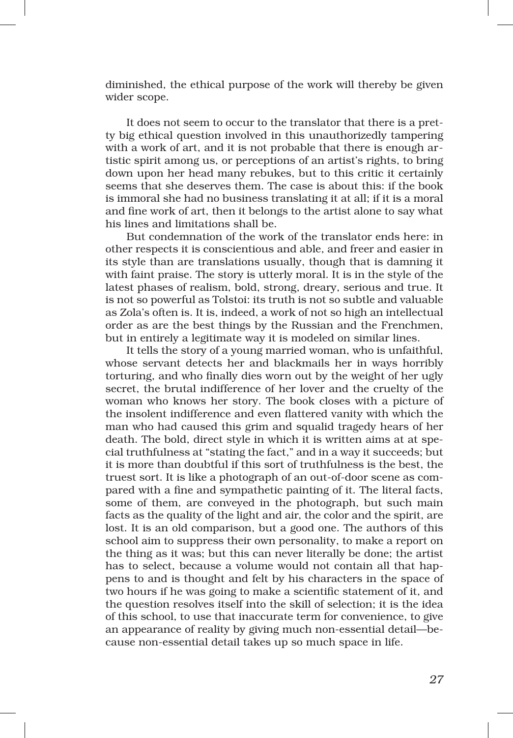diminished, the ethical purpose of the work will thereby be given wider scope.

It does not seem to occur to the translator that there is a pretty big ethical question involved in this unauthorizedly tampering with a work of art, and it is not probable that there is enough artistic spirit among us, or perceptions of an artist's rights, to bring down upon her head many rebukes, but to this critic it certainly seems that she deserves them. The case is about this: if the book is immoral she had no business translating it at all; if it is a moral and fine work of art, then it belongs to the artist alone to say what his lines and limitations shall be.

But condemnation of the work of the translator ends here: in other respects it is conscientious and able, and freer and easier in its style than are translations usually, though that is damning it with faint praise. The story is utterly moral. It is in the style of the latest phases of realism, bold, strong, dreary, serious and true. It is not so powerful as Tolstoi: its truth is not so subtle and valuable as Zola's often is. It is, indeed, a work of not so high an intellectual order as are the best things by the Russian and the Frenchmen, but in entirely a legitimate way it is modeled on similar lines.

It tells the story of a young married woman, who is unfaithful, whose servant detects her and blackmails her in ways horribly torturing, and who finally dies worn out by the weight of her ugly secret, the brutal indifference of her lover and the cruelty of the woman who knows her story. The book closes with a picture of the insolent indifference and even flattered vanity with which the man who had caused this grim and squalid tragedy hears of her death. The bold, direct style in which it is written aims at at special truthfulness at "stating the fact," and in a way it succeeds; but it is more than doubtful if this sort of truthfulness is the best, the truest sort. It is like a photograph of an out-of-door scene as compared with a fine and sympathetic painting of it. The literal facts, some of them, are conveyed in the photograph, but such main facts as the quality of the light and air, the color and the spirit, are lost. It is an old comparison, but a good one. The authors of this school aim to suppress their own personality, to make a report on the thing as it was; but this can never literally be done; the artist has to select, because a volume would not contain all that happens to and is thought and felt by his characters in the space of two hours if he was going to make a scientific statement of it, and the question resolves itself into the skill of selection; it is the idea of this school, to use that inaccurate term for convenience, to give an appearance of reality by giving much non‑essential detail—be‑ cause non‑essential detail takes up so much space in life.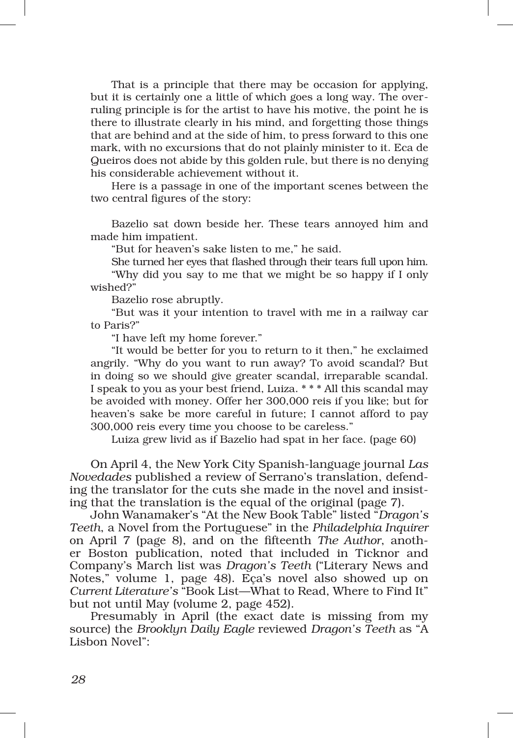That is a principle that there may be occasion for applying, but it is certainly one a little of which goes a long way. The overruling principle is for the artist to have his motive, the point he is there to illustrate clearly in his mind, and forgetting those things that are behind and at the side of him, to press forward to this one mark, with no excursions that do not plainly minister to it. Eca de Queiros does not abide by this golden rule, but there is no denying his considerable achievement without it.

Here is a passage in one of the important scenes between the two central figures of the story:

Bazelio sat down beside her. These tears annoyed him and made him impatient.

"But for heaven's sake listen to me," he said.

She turned her eyes that flashed through their tears full upon him. "Why did you say to me that we might be so happy if I only wished?"

Bazelio rose abruptly.

"But was it your intention to travel with me in a railway car to Paris?"

"I have left my home forever."

"It would be better for you to return to it then," he exclaimed angrily. "Why do you want to run away? To avoid scandal? But in doing so we should give greater scandal, irreparable scandal. I speak to you as your best friend, Luiza. \* \* \* All this scandal may be avoided with money. Offer her 300,000 reis if you like; but for heaven's sake be more careful in future; I cannot afford to pay 300,000 reis every time you choose to be careless."

Luiza grew livid as if Bazelio had spat in her face. (page 60)

On April 4, the New York City Spanish‑language journal *Las Novedades* published a review of Serrano's translation, defend‑ ing the translator for the cuts she made in the novel and insisting that the translation is the equal of the original (page 7).

John Wanamaker's "At the New Book Table" listed "*Dragon's Teeth*, a Novel from the Portuguese" in the *Philadelphia Inquirer* on April 7 (page 8), and on the fifteenth *The Author*, anoth‑ er Boston publication, noted that included in Ticknor and Company's March list was *Dragon's Teeth* ("Literary News and Notes," volume 1, page 48). Eça's novel also showed up on *Current Literature's* "Book List—What to Read, Where to Find It" but not until May (volume 2, page 452).

Presumably in April (the exact date is missing from my source) the *Brooklyn Daily Eagle* reviewed *Dragon's Teeth* as "A Lisbon Novel":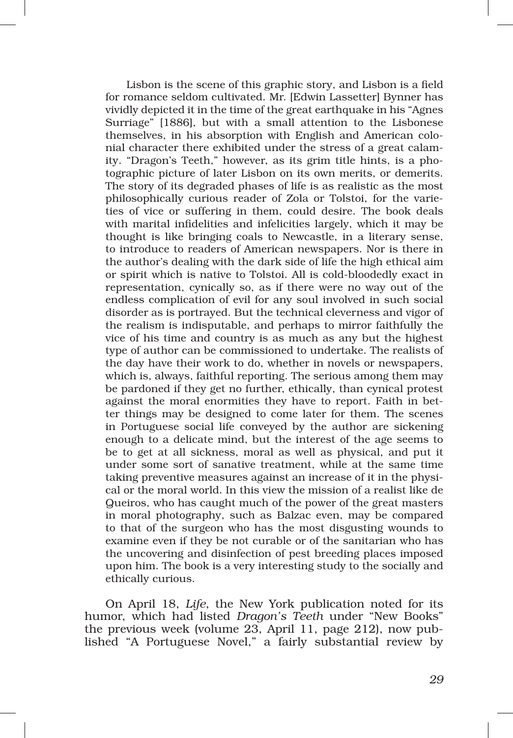Lisbon is the scene of this graphic story, and Lisbon is a field for romance seldom cultivated. Mr. [Edwin Lassetter] Bynner has vividly depicted it in the time of the great earthquake in his "Agnes Surriage" [1886], but with a small attention to the Lisbonese themselves, in his absorption with English and American colonial character there exhibited under the stress of a great calamity. "Dragon's Teeth," however, as its grim title hints, is a photographic picture of later Lisbon on its own merits, or demerits. The story of its degraded phases of life is as realistic as the most philosophically curious reader of Zola or Tolstoi, for the varieties of vice or suffering in them, could desire. The book deals with marital infidelities and infelicities largely, which it may be thought is like bringing coals to Newcastle, in a literary sense, to introduce to readers of American newspapers. Nor is there in the author's dealing with the dark side of life the high ethical aim or spirit which is native to Tolstoi. All is cold‑bloodedly exact in representation, cynically so, as if there were no way out of the endless complication of evil for any soul involved in such social disorder as is portrayed. But the technical cleverness and vigor of the realism is indisputable, and perhaps to mirror faithfully the vice of his time and country is as much as any but the highest type of author can be commissioned to undertake. The realists of the day have their work to do, whether in novels or newspapers, which is, always, faithful reporting. The serious among them may be pardoned if they get no further, ethically, than cynical protest against the moral enormities they have to report. Faith in better things may be designed to come later for them. The scenes in Portuguese social life conveyed by the author are sickening enough to a delicate mind, but the interest of the age seems to be to get at all sickness, moral as well as physical, and put it under some sort of sanative treatment, while at the same time taking preventive measures against an increase of it in the physical or the moral world. In this view the mission of a realist like de Queiros, who has caught much of the power of the great masters in moral photography, such as Balzac even, may be compared to that of the surgeon who has the most disgusting wounds to examine even if they be not curable or of the sanitarian who has the uncovering and disinfection of pest breeding places imposed upon him. The book is a very interesting study to the socially and ethically curious.

On April 18, *Life*, the New York publication noted for its humor, which had listed *Dragon's Teeth* under "New Books" the previous week (volume 23, April 11, page 212), now published "A Portuguese Novel," a fairly substantial review by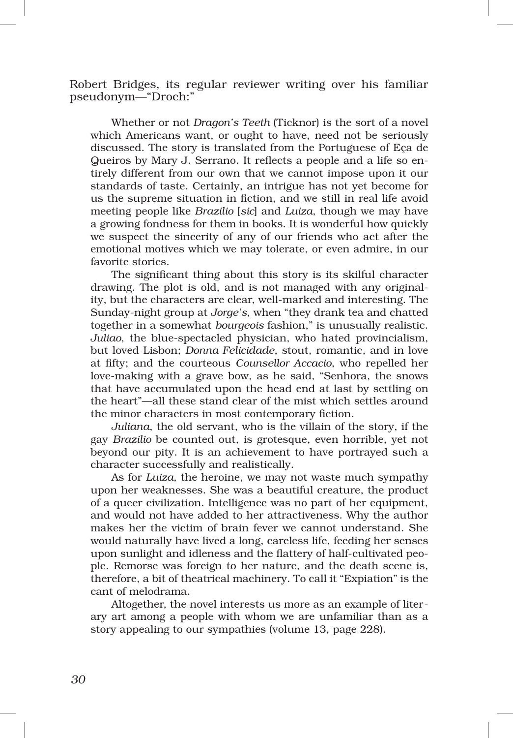Robert Bridges, its regular reviewer writing over his familiar pseudonym—"Droch:"

Whether or not *Dragon's Teeth* (Ticknor) is the sort of a novel which Americans want, or ought to have, need not be seriously discussed. The story is translated from the Portuguese of Eça de Queiros by Mary J. Serrano. It reflects a people and a life so entirely different from our own that we cannot impose upon it our standards of taste. Certainly, an intrigue has not yet become for us the supreme situation in fiction, and we still in real life avoid meeting people like *Brazilio* [*sic*] and *Luiza*, though we may have a growing fondness for them in books. It is wonderful how quickly we suspect the sincerity of any of our friends who act after the emotional motives which we may tolerate, or even admire, in our favorite stories.

The significant thing about this story is its skilful character drawing. The plot is old, and is not managed with any originality, but the characters are clear, well‑marked and interesting. The Sunday‑night group at *Jorge's*, when "they drank tea and chatted together in a somewhat *bourgeois* fashion," is unusually realistic. *Juliao*, the blue‑spectacled physician, who hated provincialism, but loved Lisbon; *Donna Felicidade*, stout, romantic, and in love at fifty; and the courteous *Counsellor Accacio*, who repelled her love‑making with a grave bow, as he said, "Senhora, the snows that have accumulated upon the head end at last by settling on the heart"—all these stand clear of the mist which settles around the minor characters in most contemporary fiction.

*Juliana*, the old servant, who is the villain of the story, if the gay *Brazilio* be counted out, is grotesque, even horrible, yet not beyond our pity. It is an achievement to have portrayed such a character successfully and realistically.

As for *Luiza*, the heroine, we may not waste much sympathy upon her weaknesses. She was a beautiful creature, the product of a queer civilization. Intelligence was no part of her equipment, and would not have added to her attractiveness. Why the author makes her the victim of brain fever we cannot understand. She would naturally have lived a long, careless life, feeding her senses upon sunlight and idleness and the flattery of half-cultivated people. Remorse was foreign to her nature, and the death scene is, therefore, a bit of theatrical machinery. To call it "Expiation" is the cant of melodrama.

Altogether, the novel interests us more as an example of literary art among a people with whom we are unfamiliar than as a story appealing to our sympathies (volume 13, page 228).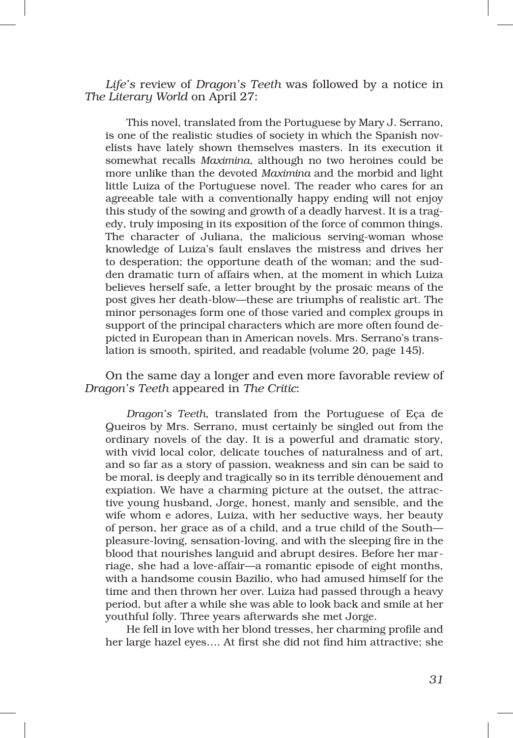*Life's* review of *Dragon's Teeth* was followed by a notice in *The Literary World* on April 27:

This novel, translated from the Portuguese by Mary J. Serrano, is one of the realistic studies of society in which the Spanish novelists have lately shown themselves masters. In its execution it somewhat recalls *Maximina*, although no two heroines could be more unlike than the devoted *Maximina* and the morbid and light little Luiza of the Portuguese novel. The reader who cares for an agreeable tale with a conventionally happy ending will not enjoy this study of the sowing and growth of a deadly harvest. It is a tragedy, truly imposing in its exposition of the force of common things. The character of Juliana, the malicious serving-woman whose knowledge of Luiza's fault enslaves the mistress and drives her to desperation; the opportune death of the woman; and the sudden dramatic turn of affairs when, at the moment in which Luiza believes herself safe, a letter brought by the prosaic means of the post gives her death‑blow—these are triumphs of realistic art. The minor personages form one of those varied and complex groups in support of the principal characters which are more often found depicted in European than in American novels. Mrs. Serrano's translation is smooth, spirited, and readable (volume 20, page 145).

On the same day a longer and even more favorable review of *Dragon's Teeth* appeared in *The Critic*:

*Dragon's Teeth*, translated from the Portuguese of Eça de Queiros by Mrs. Serrano, must certainly be singled out from the ordinary novels of the day. It is a powerful and dramatic story, with vivid local color, delicate touches of naturalness and of art, and so far as a story of passion, weakness and sin can be said to be moral, is deeply and tragically so in its terrible dénouement and expiation. We have a charming picture at the outset, the attractive young husband, Jorge, honest, manly and sensible, and the wife whom e adores, Luiza, with her seductive ways, her beauty of person, her grace as of a child, and a true child of the South pleasure‑loving, sensation‑loving, and with the sleeping fire in the blood that nourishes languid and abrupt desires. Before her marriage, she had a love‑affair—a romantic episode of eight months, with a handsome cousin Bazilio, who had amused himself for the time and then thrown her over. Luiza had passed through a heavy period, but after a while she was able to look back and smile at her youthful folly. Three years afterwards she met Jorge.

He fell in love with her blond tresses, her charming profile and her large hazel eyes…. At first she did not find him attractive; she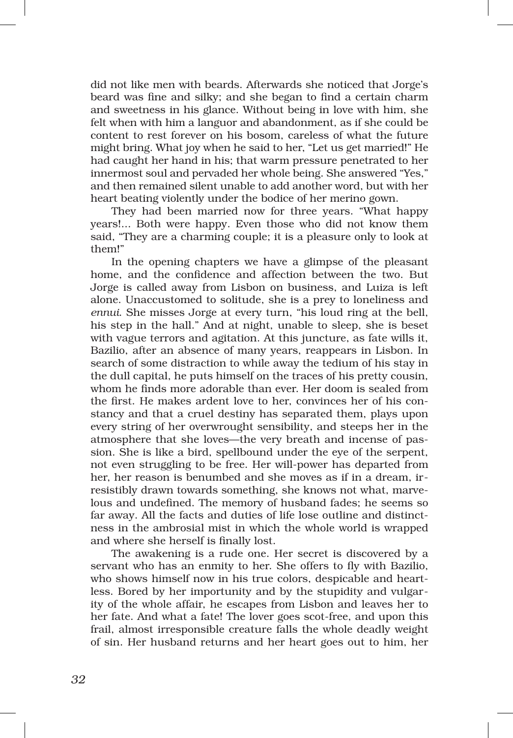did not like men with beards. Afterwards she noticed that Jorge's beard was fine and silky; and she began to find a certain charm and sweetness in his glance. Without being in love with him, she felt when with him a languor and abandonment, as if she could be content to rest forever on his bosom, careless of what the future might bring. What joy when he said to her, "Let us get married!" He had caught her hand in his; that warm pressure penetrated to her innermost soul and pervaded her whole being. She answered "Yes," and then remained silent unable to add another word, but with her heart beating violently under the bodice of her merino gown.

They had been married now for three years. "What happy years!... Both were happy. Even those who did not know them said, "They are a charming couple; it is a pleasure only to look at them!"

In the opening chapters we have a glimpse of the pleasant home, and the confidence and affection between the two. But Jorge is called away from Lisbon on business, and Luiza is left alone. Unaccustomed to solitude, she is a prey to loneliness and *ennui*. She misses Jorge at every turn, "his loud ring at the bell, his step in the hall." And at night, unable to sleep, she is beset with vague terrors and agitation. At this juncture, as fate wills it, Bazilio, after an absence of many years, reappears in Lisbon. In search of some distraction to while away the tedium of his stay in the dull capital, he puts himself on the traces of his pretty cousin, whom he finds more adorable than ever. Her doom is sealed from the first. He makes ardent love to her, convinces her of his constancy and that a cruel destiny has separated them, plays upon every string of her overwrought sensibility, and steeps her in the atmosphere that she loves—the very breath and incense of passion. She is like a bird, spellbound under the eye of the serpent, not even struggling to be free. Her will‑power has departed from her, her reason is benumbed and she moves as if in a dream, irresistibly drawn towards something, she knows not what, marvelous and undefined. The memory of husband fades; he seems so far away. All the facts and duties of life lose outline and distinctness in the ambrosial mist in which the whole world is wrapped and where she herself is finally lost.

The awakening is a rude one. Her secret is discovered by a servant who has an enmity to her. She offers to fly with Bazilio, who shows himself now in his true colors, despicable and heartless. Bored by her importunity and by the stupidity and vulgarity of the whole affair, he escapes from Lisbon and leaves her to her fate. And what a fate! The lover goes scot‑free, and upon this frail, almost irresponsible creature falls the whole deadly weight of sin. Her husband returns and her heart goes out to him, her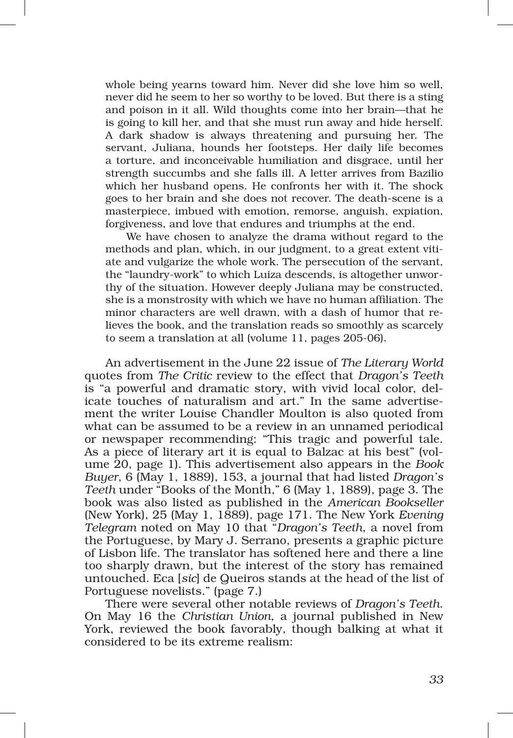whole being yearns toward him. Never did she love him so well, never did he seem to her so worthy to be loved. But there is a sting and poison in it all. Wild thoughts come into her brain—that he is going to kill her, and that she must run away and hide herself. A dark shadow is always threatening and pursuing her. The servant, Juliana, hounds her footsteps. Her daily life becomes a torture, and inconceivable humiliation and disgrace, until her strength succumbs and she falls ill. A letter arrives from Bazilio which her husband opens. He confronts her with it. The shock goes to her brain and she does not recover. The death‑scene is a masterpiece, imbued with emotion, remorse, anguish, expiation, forgiveness, and love that endures and triumphs at the end.

We have chosen to analyze the drama without regard to the methods and plan, which, in our judgment, to a great extent vitiate and vulgarize the whole work. The persecution of the servant, the "laundry-work" to which Luiza descends, is altogether unworthy of the situation. However deeply Juliana may be constructed, she is a monstrosity with which we have no human affiliation. The minor characters are well drawn, with a dash of humor that relieves the book, and the translation reads so smoothly as scarcely to seem a translation at all (volume 11, pages 205‑06).

An advertisement in the June 22 issue of *The Literary World* quotes from *The Critic* review to the effect that *Dragon's Teeth* is "a powerful and dramatic story, with vivid local color, delicate touches of naturalism and art." In the same advertisement the writer Louise Chandler Moulton is also quoted from what can be assumed to be a review in an unnamed periodical or newspaper recommending: "This tragic and powerful tale. As a piece of literary art it is equal to Balzac at his best" (volume 20, page 1). This advertisement also appears in the *Book Buyer*, 6 (May 1, 1889), 153, a journal that had listed *Dragon's Teeth* under "Books of the Month," 6 (May 1, 1889), page 3. The book was also listed as published in the *American Bookseller* (New York), 25 (May 1, 1889), page 171. The New York *Evening Telegram* noted on May 10 that "*Dragon's Teeth*, a novel from the Portuguese, by Mary J. Serrano, presents a graphic picture of Lisbon life. The translator has softened here and there a line too sharply drawn, but the interest of the story has remained untouched. Eca [*sic*] de Queiros stands at the head of the list of Portuguese novelists." (page 7.)

There were several other notable reviews of *Dragon's Teeth*. On May 16 the *Christian Union*, a journal published in New York, reviewed the book favorably, though balking at what it considered to be its extreme realism: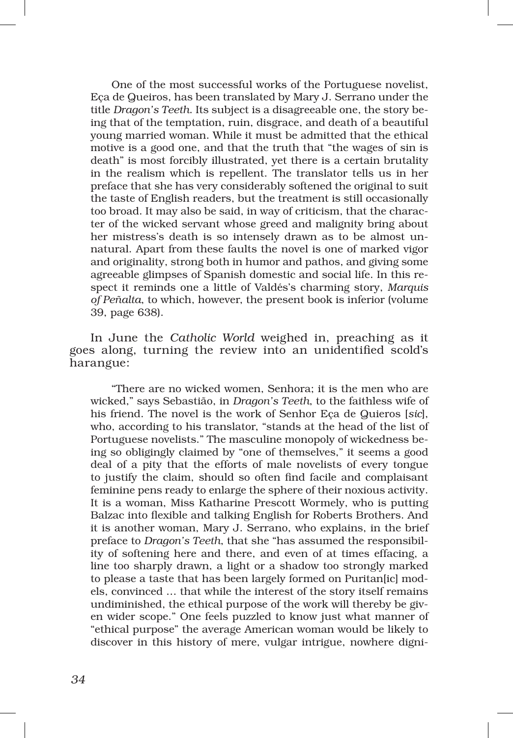One of the most successful works of the Portuguese novelist, Eça de Queiros, has been translated by Mary J. Serrano under the title *Dragon's Teeth*. Its subject is a disagreeable one, the story be‑ ing that of the temptation, ruin, disgrace, and death of a beautiful young married woman. While it must be admitted that the ethical motive is a good one, and that the truth that "the wages of sin is death" is most forcibly illustrated, yet there is a certain brutality in the realism which is repellent. The translator tells us in her preface that she has very considerably softened the original to suit the taste of English readers, but the treatment is still occasionally too broad. It may also be said, in way of criticism, that the character of the wicked servant whose greed and malignity bring about her mistress's death is so intensely drawn as to be almost unnatural. Apart from these faults the novel is one of marked vigor and originality, strong both in humor and pathos, and giving some agreeable glimpses of Spanish domestic and social life. In this re‑ spect it reminds one a little of Valdés's charming story, *Marquis of Peñalta*, to which, however, the present book is inferior (volume 39, page 638).

In June the *Catholic World* weighed in, preaching as it goes along, turning the review into an unidentified scold's harangue:

"There are no wicked women, Senhora; it is the men who are wicked," says Sebastião, in *Dragon's Teeth*, to the faithless wife of his friend. The novel is the work of Senhor Eça de Quieros [*sic*], who, according to his translator, "stands at the head of the list of Portuguese novelists." The masculine monopoly of wickedness be‑ ing so obligingly claimed by "one of themselves," it seems a good deal of a pity that the efforts of male novelists of every tongue to justify the claim, should so often find facile and complaisant feminine pens ready to enlarge the sphere of their noxious activity. It is a woman, Miss Katharine Prescott Wormely, who is putting Balzac into flexible and talking English for Roberts Brothers. And it is another woman, Mary J. Serrano, who explains, in the brief preface to *Dragon's Teeth*, that she "has assumed the responsibility of softening here and there, and even of at times effacing, a line too sharply drawn, a light or a shadow too strongly marked to please a taste that has been largely formed on Puritan[ic] models, convinced … that while the interest of the story itself remains undiminished, the ethical purpose of the work will thereby be given wider scope." One feels puzzled to know just what manner of "ethical purpose" the average American woman would be likely to discover in this history of mere, vulgar intrigue, nowhere digni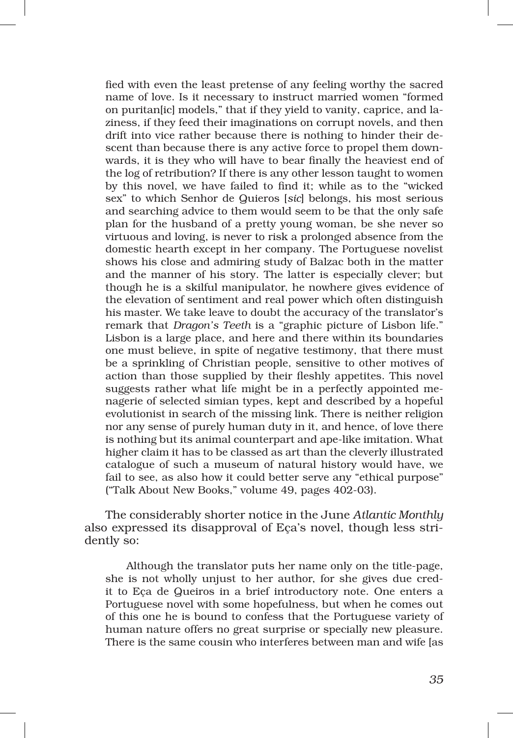fied with even the least pretense of any feeling worthy the sacred name of love. Is it necessary to instruct married women "formed on puritan [ic] models," that if they yield to vanity, caprice, and laziness, if they feed their imaginations on corrupt novels, and then drift into vice rather because there is nothing to hinder their descent than because there is any active force to propel them downwards, it is they who will have to bear finally the heaviest end of the log of retribution? If there is any other lesson taught to women by this novel, we have failed to find it; while as to the "wicked sex" to which Senhor de Quieros [*sic*] belongs, his most serious and searching advice to them would seem to be that the only safe plan for the husband of a pretty young woman, be she never so virtuous and loving, is never to risk a prolonged absence from the domestic hearth except in her company. The Portuguese novelist shows his close and admiring study of Balzac both in the matter and the manner of his story. The latter is especially clever; but though he is a skilful manipulator, he nowhere gives evidence of the elevation of sentiment and real power which often distinguish his master. We take leave to doubt the accuracy of the translator's remark that *Dragon's Teeth* is a "graphic picture of Lisbon life." Lisbon is a large place, and here and there within its boundaries one must believe, in spite of negative testimony, that there must be a sprinkling of Christian people, sensitive to other motives of action than those supplied by their fleshly appetites. This novel suggests rather what life might be in a perfectly appointed me‑ nagerie of selected simian types, kept and described by a hopeful evolutionist in search of the missing link. There is neither religion nor any sense of purely human duty in it, and hence, of love there is nothing but its animal counterpart and ape‑like imitation. What higher claim it has to be classed as art than the cleverly illustrated catalogue of such a museum of natural history would have, we fail to see, as also how it could better serve any "ethical purpose" ("Talk About New Books," volume 49, pages 402‑03).

The considerably shorter notice in the June *Atlantic Monthly* also expressed its disapproval of Eça's novel, though less stridently so:

Although the translator puts her name only on the title-page, she is not wholly unjust to her author, for she gives due credit to Eça de Queiros in a brief introductory note. One enters a Portuguese novel with some hopefulness, but when he comes out of this one he is bound to confess that the Portuguese variety of human nature offers no great surprise or specially new pleasure. There is the same cousin who interferes between man and wife [as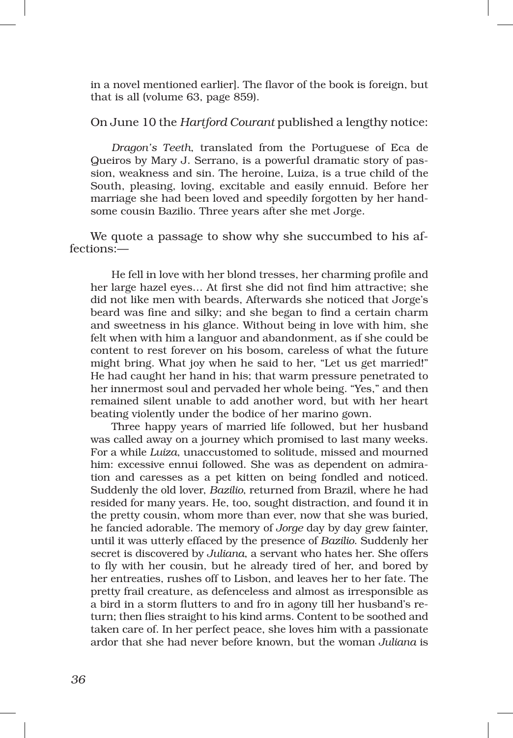in a novel mentioned earlier]. The flavor of the book is foreign, but that is all (volume 63, page 859).

## On June 10 the *Hartford Courant* published a lengthy notice:

*Dragon's Teeth*, translated from the Portuguese of Eca de Queiros by Mary J. Serrano, is a powerful dramatic story of passion, weakness and sin. The heroine, Luiza, is a true child of the South, pleasing, loving, excitable and easily ennuid. Before her marriage she had been loved and speedily forgotten by her handsome cousin Bazilio. Three years after she met Jorge.

We quote a passage to show why she succumbed to his affections:—

He fell in love with her blond tresses, her charming profile and her large hazel eyes… At first she did not find him attractive; she did not like men with beards, Afterwards she noticed that Jorge's beard was fine and silky; and she began to find a certain charm and sweetness in his glance. Without being in love with him, she felt when with him a languor and abandonment, as if she could be content to rest forever on his bosom, careless of what the future might bring. What joy when he said to her, "Let us get married!" He had caught her hand in his; that warm pressure penetrated to her innermost soul and pervaded her whole being. "Yes," and then remained silent unable to add another word, but with her heart beating violently under the bodice of her marino gown.

Three happy years of married life followed, but her husband was called away on a journey which promised to last many weeks. For a while *Luiza*, unaccustomed to solitude, missed and mourned him: excessive ennui followed. She was as dependent on admiration and caresses as a pet kitten on being fondled and noticed. Suddenly the old lover, *Bazilio*, returned from Brazil, where he had resided for many years. He, too, sought distraction, and found it in the pretty cousin, whom more than ever, now that she was buried, he fancied adorable. The memory of *Jorge* day by day grew fainter, until it was utterly effaced by the presence of *Bazilio*. Suddenly her secret is discovered by *Juliana*, a servant who hates her. She offers to fly with her cousin, but he already tired of her, and bored by her entreaties, rushes off to Lisbon, and leaves her to her fate. The pretty frail creature, as defenceless and almost as irresponsible as a bird in a storm flutters to and fro in agony till her husband's re‑ turn; then flies straight to his kind arms. Content to be soothed and taken care of. In her perfect peace, she loves him with a passionate ardor that she had never before known, but the woman *Juliana* is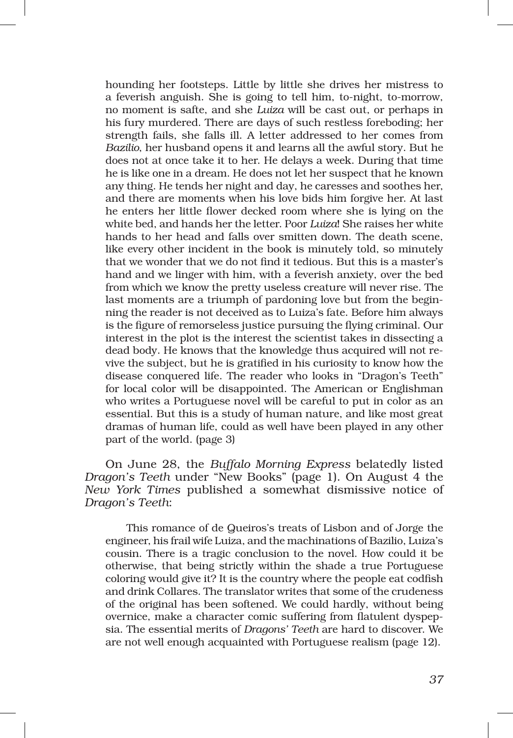hounding her footsteps. Little by little she drives her mistress to a feverish anguish. She is going to tell him, to-night, to-morrow, no moment is safte, and she *Luiza* will be cast out, or perhaps in his fury murdered. There are days of such restless foreboding; her strength fails, she falls ill. A letter addressed to her comes from *Bazilio*, her husband opens it and learns all the awful story. But he does not at once take it to her. He delays a week. During that time he is like one in a dream. He does not let her suspect that he known any thing. He tends her night and day, he caresses and soothes her, and there are moments when his love bids him forgive her. At last he enters her little flower decked room where she is lying on the white bed, and hands her the letter. Poor *Luiza*! She raises her white hands to her head and falls over smitten down. The death scene, like every other incident in the book is minutely told, so minutely that we wonder that we do not find it tedious. But this is a master's hand and we linger with him, with a feverish anxiety, over the bed from which we know the pretty useless creature will never rise. The last moments are a triumph of pardoning love but from the beginning the reader is not deceived as to Luiza's fate. Before him always is the figure of remorseless justice pursuing the flying criminal. Our interest in the plot is the interest the scientist takes in dissecting a dead body. He knows that the knowledge thus acquired will not revive the subject, but he is gratified in his curiosity to know how the disease conquered life. The reader who looks in "Dragon's Teeth" for local color will be disappointed. The American or Englishman who writes a Portuguese novel will be careful to put in color as an essential. But this is a study of human nature, and like most great dramas of human life, could as well have been played in any other part of the world. (page 3)

On June 28, the *Buffalo Morning Express* belatedly listed *Dragon's Teeth* under "New Books" (page 1). On August 4 the *New York Times* published a somewhat dismissive notice of *Dragon's Teeth*:

This romance of de Queiros's treats of Lisbon and of Jorge the engineer, his frail wife Luiza, and the machinations of Bazilio, Luiza's cousin. There is a tragic conclusion to the novel. How could it be otherwise, that being strictly within the shade a true Portuguese coloring would give it? It is the country where the people eat codfish and drink Collares. The translator writes that some of the crudeness of the original has been softened. We could hardly, without being overnice, make a character comic suffering from flatulent dyspepsia. The essential merits of *Dragons' Teeth* are hard to discover. We are not well enough acquainted with Portuguese realism (page 12).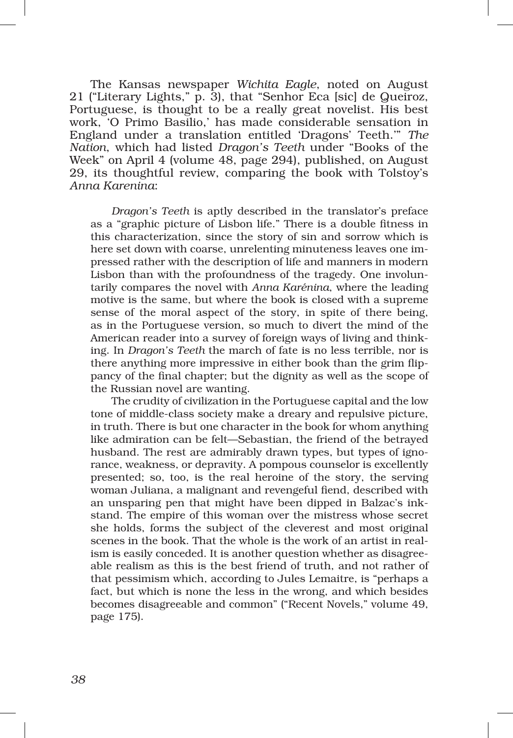The Kansas newspaper *Wichita Eagle*, noted on August 21 ("Literary Lights," p. 3), that "Senhor Eca [sic] de Queiroz, Portuguese, is thought to be a really great novelist. His best work, 'O Primo Basilio,' has made considerable sensation in England under a translation entitled 'Dragons' Teeth.'" *The Nation*, which had listed *Dragon's Teeth* under "Books of the Week" on April 4 (volume 48, page 294), published, on August 29, its thoughtful review, comparing the book with Tolstoy's *Anna Karenina*:

*Dragon's Teeth* is aptly described in the translator's preface as a "graphic picture of Lisbon life." There is a double fitness in this characterization, since the story of sin and sorrow which is here set down with coarse, unrelenting minuteness leaves one impressed rather with the description of life and manners in modern Lisbon than with the profoundness of the tragedy. One involuntarily compares the novel with *Anna Karénina*, where the leading motive is the same, but where the book is closed with a supreme sense of the moral aspect of the story, in spite of there being, as in the Portuguese version, so much to divert the mind of the American reader into a survey of foreign ways of living and thinking. In *Dragon's Teeth* the march of fate is no less terrible, nor is there anything more impressive in either book than the grim flippancy of the final chapter; but the dignity as well as the scope of the Russian novel are wanting.

The crudity of civilization in the Portuguese capital and the low tone of middle‑class society make a dreary and repulsive picture, in truth. There is but one character in the book for whom anything like admiration can be felt—Sebastian, the friend of the betrayed husband. The rest are admirably drawn types, but types of ignorance, weakness, or depravity. A pompous counselor is excellently presented; so, too, is the real heroine of the story, the serving woman Juliana, a malignant and revengeful fiend, described with an unsparing pen that might have been dipped in Balzac's inkstand. The empire of this woman over the mistress whose secret she holds, forms the subject of the cleverest and most original scenes in the book. That the whole is the work of an artist in realism is easily conceded. It is another question whether as disagreeable realism as this is the best friend of truth, and not rather of that pessimism which, according to Jules Lemaitre, is "perhaps a fact, but which is none the less in the wrong, and which besides becomes disagreeable and common" ("Recent Novels," volume 49, page 175).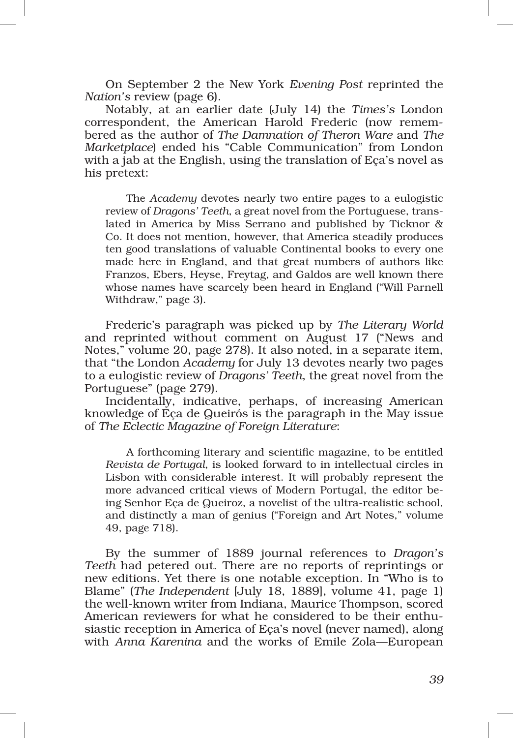On September 2 the New York *Evening Post* reprinted the *Nation's* review (page 6).

Notably, at an earlier date (July 14) the *Times's* London correspondent, the American Harold Frederic (now remembered as the author of *The Damnation of Theron Ware* and *The Marketplace*) ended his "Cable Communication" from London with a jab at the English, using the translation of Eça's novel as his pretext:

The *Academy* devotes nearly two entire pages to a eulogistic review of *Dragons' Teeth*, a great novel from the Portuguese, translated in America by Miss Serrano and published by Ticknor & Co. It does not mention, however, that America steadily produces ten good translations of valuable Continental books to every one made here in England, and that great numbers of authors like Franzos, Ebers, Heyse, Freytag, and Galdos are well known there whose names have scarcely been heard in England ("Will Parnell Withdraw," page 3).

Frederic's paragraph was picked up by *The Literary World* and reprinted without comment on August 17 ("News and Notes," volume 20, page 278). It also noted, in a separate item, that "the London *Academy* for July 13 devotes nearly two pages to a eulogistic review of *Dragons' Teeth*, the great novel from the Portuguese" (page 279).

Incidentally, indicative, perhaps, of increasing American knowledge of Eça de Queirós is the paragraph in the May issue of *The Eclectic Magazine of Foreign Literature*:

A forthcoming literary and scientific magazine, to be entitled *Revista de Portugal*, is looked forward to in intellectual circles in Lisbon with considerable interest. It will probably represent the more advanced critical views of Modern Portugal, the editor be‑ ing Senhor Eça de Queiroz, a novelist of the ultra‑realistic school, and distinctly a man of genius ("Foreign and Art Notes," volume 49, page 718).

By the summer of 1889 journal references to *Dragon's Teeth* had petered out. There are no reports of reprintings or new editions. Yet there is one notable exception. In "Who is to Blame" (*The Independent* [July 18, 1889], volume 41, page 1) the well‑known writer from Indiana, Maurice Thompson, scored American reviewers for what he considered to be their enthusiastic reception in America of Eça's novel (never named), along with *Anna Karenina* and the works of Emile Zola—European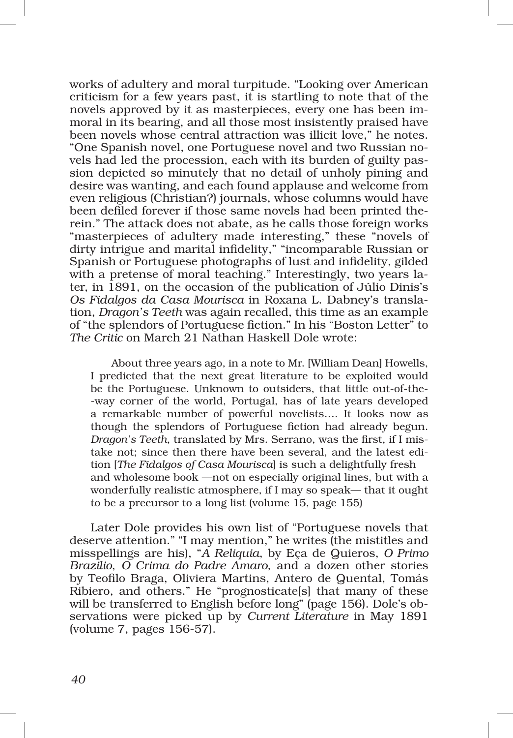works of adultery and moral turpitude. "Looking over American criticism for a few years past, it is startling to note that of the novels approved by it as masterpieces, every one has been immoral in its bearing, and all those most insistently praised have been novels whose central attraction was illicit love," he notes. "One Spanish novel, one Portuguese novel and two Russian no‑ vels had led the procession, each with its burden of guilty pas‑ sion depicted so minutely that no detail of unholy pining and desire was wanting, and each found applause and welcome from even religious (Christian?) journals, whose columns would have been defiled forever if those same novels had been printed therein." The attack does not abate, as he calls those foreign works "masterpieces of adultery made interesting," these "novels of dirty intrigue and marital infidelity," "incomparable Russian or Spanish or Portuguese photographs of lust and infidelity, gilded with a pretense of moral teaching." Interestingly, two years later, in 1891, on the occasion of the publication of Júlio Dinis's *Os Fidalgos da Casa Mourisca* in Roxana L. Dabney's transla‑ tion, *Dragon's Teeth* was again recalled, this time as an example of "the splendors of Portuguese fiction." In his "Boston Letter" to *The Critic* on March 21 Nathan Haskell Dole wrote:

About three years ago, in a note to Mr. [William Dean] Howells, I predicted that the next great literature to be exploited would be the Portuguese. Unknown to outsiders, that little out-of-the-‑way corner of the world, Portugal, has of late years developed a remarkable number of powerful novelists…. It looks now as though the splendors of Portuguese fiction had already begun. *Dragon's Teeth*, translated by Mrs. Serrano, was the first, if I mis‑ take not; since then there have been several, and the latest edition [*The Fidalgos of Casa Mourisca*] is such a delightfully fresh and wholesome book —not on especially original lines, but with a wonderfully realistic atmosphere, if I may so speak— that it ought to be a precursor to a long list (volume 15, page 155)

Later Dole provides his own list of "Portuguese novels that deserve attention." "I may mention," he writes (the mistitles and misspellings are his), "*A Reliquia*, by Eça de Quieros, *O Primo Brazilio*, *O Crima do Padre Amaro*, and a dozen other stories by Teofilo Braga, Oliviera Martins, Antero de Quental, Tomás Ribiero, and others." He "prognosticate[s] that many of these will be transferred to English before long" (page 156). Dole's observations were picked up by *Current Literature* in May 1891 (volume 7, pages 156‑57).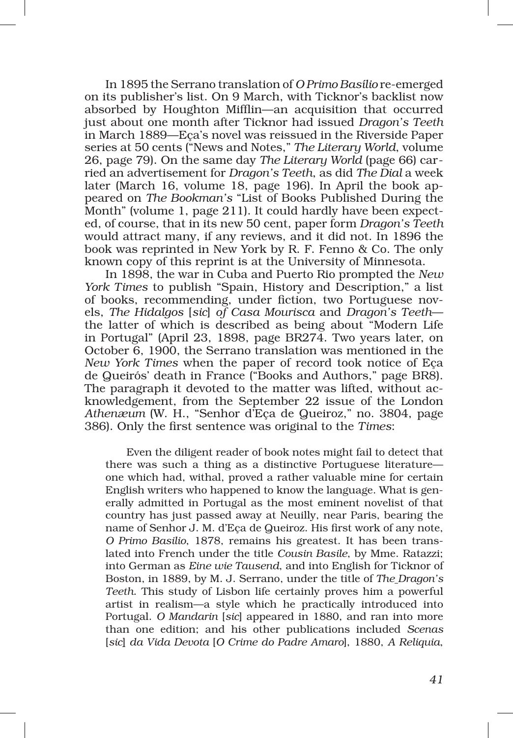In 1895 the Serrano translation of *O Primo Basílio* re‑emerged on its publisher's list. On 9 March, with Ticknor's backlist now absorbed by Houghton Mifflin—an acquisition that occurred just about one month after Ticknor had issued *Dragon's Teeth*  in March 1889—Eça's novel was reissued in the Riverside Paper series at 50 cents ("News and Notes," *The Literary World*, volume 26, page 79). On the same day *The Literary World* (page 66) car‑ ried an advertisement for *Dragon's Teeth*, as did *The Dial* a week later (March 16, volume 18, page 196). In April the book appeared on *The Bookman's* "List of Books Published During the Month" (volume 1, page 211). It could hardly have been expected, of course, that in its new 50 cent, paper form *Dragon's Teeth* would attract many, if any reviews, and it did not. In 1896 the book was reprinted in New York by R. F. Fenno & Co. The only known copy of this reprint is at the University of Minnesota.

In 1898, the war in Cuba and Puerto Rio prompted the *New York Times* to publish "Spain, History and Description," a list of books, recommending, under fiction, two Portuguese novels, *The Hidalgos* [*sic*] *of Casa Mourisca* and *Dragon's Teeth* the latter of which is described as being about "Modern Life in Portugal" (April 23, 1898, page BR274. Two years later, on October 6, 1900, the Serrano translation was mentioned in the *New York Times* when the paper of record took notice of Eça de Queirós' death in France ("Books and Authors," page BR8). The paragraph it devoted to the matter was lifted, without acknowledgement, from the September 22 issue of the London *Athenæum* (W. H., "Senhor d'Eça de Queiroz," no. 3804, page 386). Only the first sentence was original to the *Times*:

Even the diligent reader of book notes might fail to detect that there was such a thing as a distinctive Portuguese literature one which had, withal, proved a rather valuable mine for certain English writers who happened to know the language. What is generally admitted in Portugal as the most eminent novelist of that country has just passed away at Neuilly, near Paris, bearing the name of Senhor J. M. d'Eça de Queiroz. His first work of any note, *O Primo Basilio*, 1878, remains his greatest. It has been trans‑ lated into French under the title *Cousin Basile*, by Mme. Ratazzi; into German as *Eine wie Tausend*, and into English for Ticknor of Boston, in 1889, by M. J. Serrano, under the title of *The Dragon's Teeth*. This study of Lisbon life certainly proves him a powerful artist in realism—a style which he practically introduced into Portugal. *O Mandarin* [*sic*] appeared in 1880, and ran into more than one edition; and his other publications included *Scenas* [*sic*] *da Vida Devota* [*O Crime do Padre Amaro*], 1880, *A Reliquia*,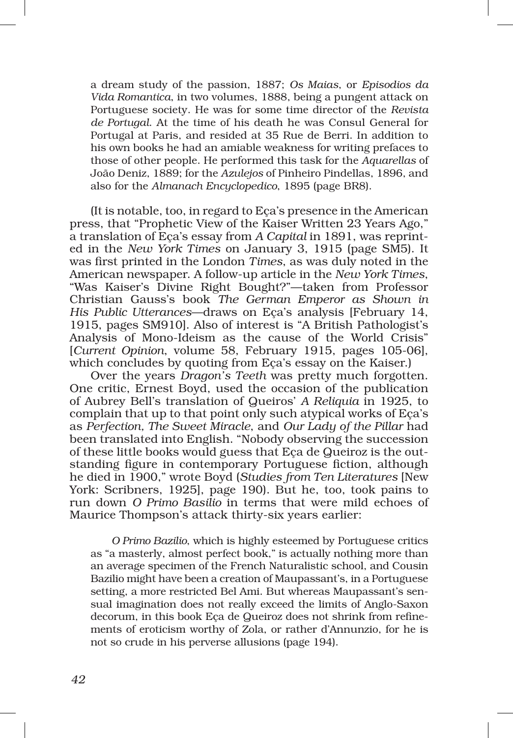a dream study of the passion, 1887; *Os Maias*, or *Episodios da Vida Romantica*, in two volumes, 1888, being a pungent attack on Portuguese society. He was for some time director of the *Revista de Portugal*. At the time of his death he was Consul General for Portugal at Paris, and resided at 35 Rue de Berri. In addition to his own books he had an amiable weakness for writing prefaces to those of other people. He performed this task for the *Aquarellas* of João Deniz, 1889; for the *Azulejos* of Pinheiro Pindellas, 1896, and also for the *Almanach Encyclopedico*, 1895 (page BR8).

(It is notable, too, in regard to Eça's presence in the American press, that "Prophetic View of the Kaiser Written 23 Years Ago," a translation of Eça's essay from *A Capital* in 1891, was reprinted in the *New York Times* on January 3, 1915 (page SM5). It was first printed in the London *Times*, as was duly noted in the American newspaper. A follow‑up article in the *New York Times*, "Was Kaiser's Divine Right Bought?"—taken from Professor Christian Gauss's book *The German Emperor as Shown in His Public Utterances*—draws on Eça's analysis [February 14, 1915, pages SM910]. Also of interest is "A British Pathologist's Analysis of Mono‑Ideism as the cause of the World Crisis" [*Current Opinion*, volume 58, February 1915, pages 105‑06], which concludes by quoting from Eça's essay on the Kaiser.)

Over the years *Dragon's Teeth* was pretty much forgotten. One critic, Ernest Boyd, used the occasion of the publication of Aubrey Bell's translation of Queiros' *A Reliquia* in 1925, to complain that up to that point only such atypical works of Eça's as *Perfection, The Sweet Miracle*, and *Our Lady of the Pillar* had been translated into English. "Nobody observing the succession of these little books would guess that Eça de Queiroz is the outstanding figure in contemporary Portuguese fiction, although he died in 1900," wrote Boyd (*Studies from Ten Literatures* [New York: Scribners, 1925], page 190). But he, too, took pains to run down *O Primo Basilio* in terms that were mild echoes of Maurice Thompson's attack thirty‑six years earlier:

*O Primo Bazilio*, which is highly esteemed by Portuguese critics as "a masterly, almost perfect book," is actually nothing more than an average specimen of the French Naturalistic school, and Cousin Bazilio might have been a creation of Maupassant's, in a Portuguese setting, a more restricted Bel Ami. But whereas Maupassant's sensual imagination does not really exceed the limits of Anglo-Saxon decorum, in this book Eca de Queiroz does not shrink from refinements of eroticism worthy of Zola, or rather d'Annunzio, for he is not so crude in his perverse allusions (page 194).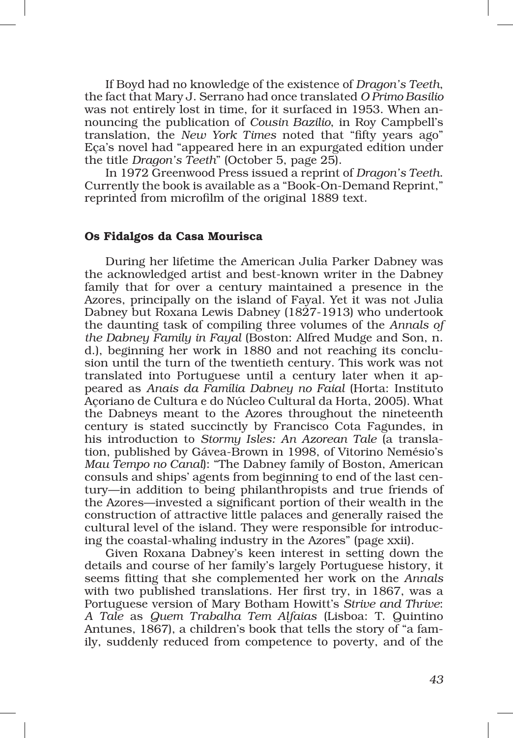If Boyd had no knowledge of the existence of *Dragon's Teeth*, the fact that Mary J. Serrano had once translated *O Primo Basilio* was not entirely lost in time, for it surfaced in 1953. When announcing the publication of *Cousin Bazilio*, in Roy Campbell's translation, the *New York Times* noted that "fifty years ago" Eça's novel had "appeared here in an expurgated edition under the title *Dragon's Teeth*" (October 5, page 25).

In 1972 Greenwood Press issued a reprint of *Dragon's Teeth*. Currently the book is available as a "Book‑On‑Demand Reprint," reprinted from microfilm of the original 1889 text.

#### Os Fidalgos da Casa Mourisca

During her lifetime the American Julia Parker Dabney was the acknowledged artist and best‑known writer in the Dabney family that for over a century maintained a presence in the Azores, principally on the island of Fayal. Yet it was not Julia Dabney but Roxana Lewis Dabney (1827‑1913) who undertook the daunting task of compiling three volumes of the *Annals of the Dabney Family in Fayal* (Boston: Alfred Mudge and Son, n. d.), beginning her work in 1880 and not reaching its conclusion until the turn of the twentieth century. This work was not translated into Portuguese until a century later when it ap‑ peared as *Anais da Família Dabney no Faial* (Horta: Instituto Açoriano de Cultura e do Núcleo Cultural da Horta, 2005). What the Dabneys meant to the Azores throughout the nineteenth century is stated succinctly by Francisco Cota Fagundes, in his introduction to *Stormy Isles: An Azorean Tale* (a transla‑ tion, published by Gávea‑Brown in 1998, of Vitorino Nemésio's *Mau Tempo no Canal*): "The Dabney family of Boston, American consuls and ships' agents from beginning to end of the last cen‑ tury—in addition to being philanthropists and true friends of the Azores—invested a significant portion of their wealth in the construction of attractive little palaces and generally raised the cultural level of the island. They were responsible for introducing the coastal‑whaling industry in the Azores" (page xxii).

Given Roxana Dabney's keen interest in setting down the details and course of her family's largely Portuguese history, it seems fitting that she complemented her work on the *Annals* with two published translations. Her first try, in 1867, was a Portuguese version of Mary Botham Howitt's *Strive and Thrive*: *A Tale* as *Quem Trabalha Tem Alfaias* (Lisboa: T. Quintino Antunes, 1867), a children's book that tells the story of "a fam‑ ily, suddenly reduced from competence to poverty, and of the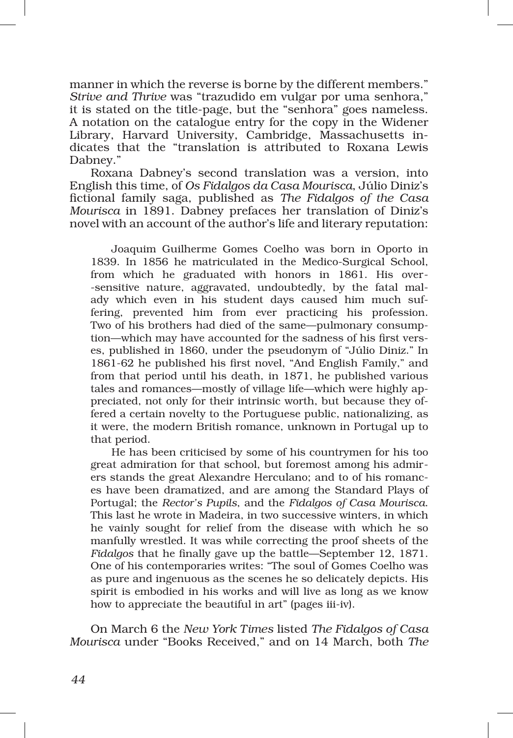manner in which the reverse is borne by the different members." *Strive and Thrive* was "trazudido em vulgar por uma senhora," it is stated on the title‑page, but the "senhora" goes nameless. A notation on the catalogue entry for the copy in the Widener Library, Harvard University, Cambridge, Massachusetts indicates that the "translation is attributed to Roxana Lewis Dabney."

Roxana Dabney's second translation was a version, into English this time, of *Os Fidalgos da Casa Mourisca*, Júlio Diniz's fictional family saga, published as *The Fidalgos of the Casa Mourisca* in 1891. Dabney prefaces her translation of Diniz's novel with an account of the author's life and literary reputation:

Joaquim Guilherme Gomes Coelho was born in Oporto in 1839. In 1856 he matriculated in the Medico‑Surgical School, from which he graduated with honors in 1861. His over-‑sensitive nature, aggravated, undoubtedly, by the fatal mal‑ ady which even in his student days caused him much suffering, prevented him from ever practicing his profession. Two of his brothers had died of the same—pulmonary consumption—which may have accounted for the sadness of his first verses, published in 1860, under the pseudonym of "Júlio Diniz." In 1861‑62 he published his first novel, "And English Family," and from that period until his death, in 1871, he published various tales and romances—mostly of village life—which were highly appreciated, not only for their intrinsic worth, but because they offered a certain novelty to the Portuguese public, nationalizing, as it were, the modern British romance, unknown in Portugal up to that period.

He has been criticised by some of his countrymen for his too great admiration for that school, but foremost among his admirers stands the great Alexandre Herculano; and to of his romances have been dramatized, and are among the Standard Plays of Portugal; the *Rector's Pupils*, and the *Fidalgos of Casa Mourisca*. This last he wrote in Madeira, in two successive winters, in which he vainly sought for relief from the disease with which he so manfully wrestled. It was while correcting the proof sheets of the *Fidalgos* that he finally gave up the battle—September 12, 1871. One of his contemporaries writes: "The soul of Gomes Coelho was as pure and ingenuous as the scenes he so delicately depicts. His spirit is embodied in his works and will live as long as we know how to appreciate the beautiful in art" (pages iii-iv).

On March 6 the *New York Times* listed *The Fidalgos of Casa Mourisca* under "Books Received," and on 14 March, both *The*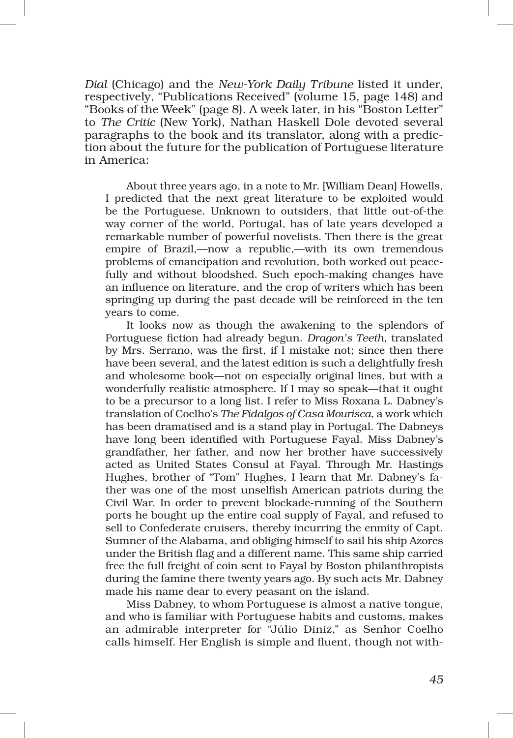*Dial* (Chicago) and the *New‑York Daily Tribune* listed it under, respectively, "Publications Received" (volume 15, page 148) and "Books of the Week" (page 8). A week later, in his "Boston Letter" to *The Critic* (New York), Nathan Haskell Dole devoted several paragraphs to the book and its translator, along with a prediction about the future for the publication of Portuguese literature in America:

About three years ago, in a note to Mr. [William Dean] Howells, I predicted that the next great literature to be exploited would be the Portuguese. Unknown to outsiders, that little out-of-the way corner of the world, Portugal, has of late years developed a remarkable number of powerful novelists. Then there is the great empire of Brazil,—now a republic,—with its own tremendous problems of emancipation and revolution, both worked out peacefully and without bloodshed. Such epoch-making changes have an influence on literature, and the crop of writers which has been springing up during the past decade will be reinforced in the ten years to come.

It looks now as though the awakening to the splendors of Portuguese fiction had already begun. *Dragon's Teeth*, translated by Mrs. Serrano, was the first, if I mistake not; since then there have been several, and the latest edition is such a delightfully fresh and wholesome book—not on especially original lines, but with a wonderfully realistic atmosphere. If I may so speak—that it ought to be a precursor to a long list. I refer to Miss Roxana L. Dabney's translation of Coelho's *The Fidalgos of Casa Mourisca*, a work which has been dramatised and is a stand play in Portugal. The Dabneys have long been identified with Portuguese Fayal. Miss Dabney's grandfather, her father, and now her brother have successively acted as United States Consul at Fayal. Through Mr. Hastings Hughes, brother of "Tom" Hughes, I learn that Mr. Dabney's father was one of the most unselfish American patriots during the Civil War. In order to prevent blockade‑running of the Southern ports he bought up the entire coal supply of Fayal, and refused to sell to Confederate cruisers, thereby incurring the enmity of Capt. Sumner of the Alabama, and obliging himself to sail his ship Azores under the British flag and a different name. This same ship carried free the full freight of coin sent to Fayal by Boston philanthropists during the famine there twenty years ago. By such acts Mr. Dabney made his name dear to every peasant on the island.

Miss Dabney, to whom Portuguese is almost a native tongue, and who is familiar with Portuguese habits and customs, makes an admirable interpreter for "Júlio Diniz," as Senhor Coelho calls himself. Her English is simple and fluent, though not with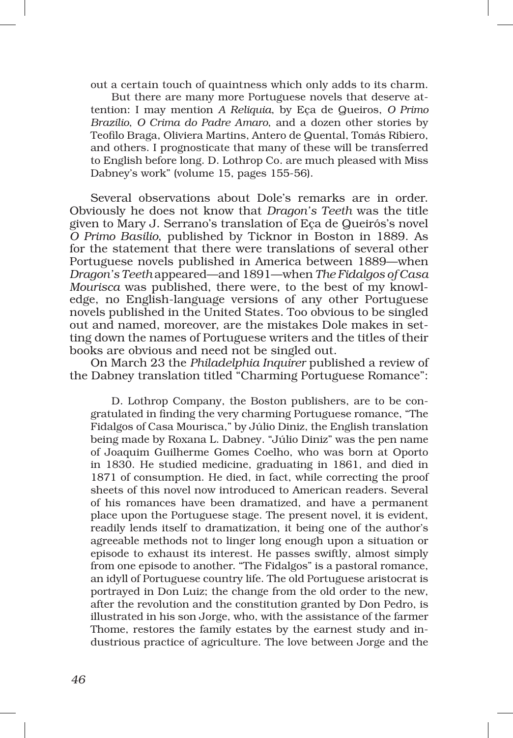out a certain touch of quaintness which only adds to its charm.

But there are many more Portuguese novels that deserve attention: I may mention *A Reliquia*, by Eça de Queiros, *O Primo Brazilio*, *O Crima do Padre Amaro*, and a dozen other stories by Teofilo Braga, Oliviera Martins, Antero de Quental, Tomás Ribiero, and others. I prognosticate that many of these will be transferred to English before long. D. Lothrop Co. are much pleased with Miss Dabney's work" (volume 15, pages 155‑56).

Several observations about Dole's remarks are in order. Obviously he does not know that *Dragon's Teeth* was the title given to Mary J. Serrano's translation of Eça de Queirós's novel *O Primo Basilio*, published by Ticknor in Boston in 1889. As for the statement that there were translations of several other Portuguese novels published in America between 1889—when *Dragon's Teeth* appeared—and 1891—when *The Fidalgos of Casa Mourisca* was published, there were, to the best of my knowledge, no English‑language versions of any other Portuguese novels published in the United States. Too obvious to be singled out and named, moreover, are the mistakes Dole makes in setting down the names of Portuguese writers and the titles of their books are obvious and need not be singled out.

On March 23 the *Philadelphia Inquirer* published a review of the Dabney translation titled "Charming Portuguese Romance":

D. Lothrop Company, the Boston publishers, are to be congratulated in finding the very charming Portuguese romance, "The Fidalgos of Casa Mourisca," by Júlio Diniz, the English translation being made by Roxana L. Dabney. "Júlio Diniz" was the pen name of Joaquim Guilherme Gomes Coelho, who was born at Oporto in 1830. He studied medicine, graduating in 1861, and died in 1871 of consumption. He died, in fact, while correcting the proof sheets of this novel now introduced to American readers. Several of his romances have been dramatized, and have a permanent place upon the Portuguese stage. The present novel, it is evident, readily lends itself to dramatization, it being one of the author's agreeable methods not to linger long enough upon a situation or episode to exhaust its interest. He passes swiftly, almost simply from one episode to another. "The Fidalgos" is a pastoral romance, an idyll of Portuguese country life. The old Portuguese aristocrat is portrayed in Don Luiz; the change from the old order to the new, after the revolution and the constitution granted by Don Pedro, is illustrated in his son Jorge, who, with the assistance of the farmer Thome, restores the family estates by the earnest study and in‑ dustrious practice of agriculture. The love between Jorge and the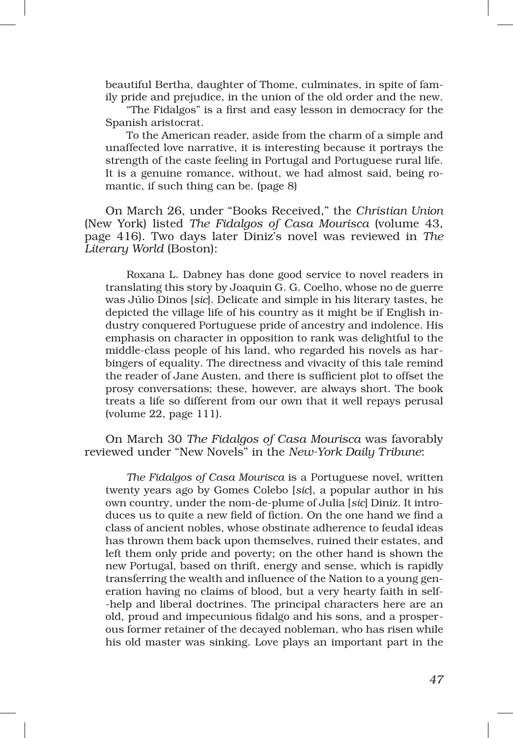beautiful Bertha, daughter of Thome, culminates, in spite of family pride and prejudice, in the union of the old order and the new.

"The Fidalgos" is a first and easy lesson in democracy for the Spanish aristocrat.

To the American reader, aside from the charm of a simple and unaffected love narrative, it is interesting because it portrays the strength of the caste feeling in Portugal and Portuguese rural life. It is a genuine romance, without, we had almost said, being romantic, if such thing can be. (page 8)

On March 26, under "Books Received," the *Christian Union* (New York) listed *The Fidalgos of Casa Mourisca* (volume 43, page 416). Two days later Diniz's novel was reviewed in *The Literary World* (Boston):

Roxana L. Dabney has done good service to novel readers in translating this story by Joaquin G. G. Coelho, whose no de guerre was Júlio Dinos [*sic*]. Delicate and simple in his literary tastes, he depicted the village life of his country as it might be if English industry conquered Portuguese pride of ancestry and indolence. His emphasis on character in opposition to rank was delightful to the middle-class people of his land, who regarded his novels as harbingers of equality. The directness and vivacity of this tale remind the reader of Jane Austen, and there is sufficient plot to offset the prosy conversations; these, however, are always short. The book treats a life so different from our own that it well repays perusal (volume 22, page 111).

On March 30 *The Fidalgos of Casa Mourisca* was favorably reviewed under "New Novels" in the *New‑York Daily Tribune*:

*The Fidalgos of Casa Mourisca* is a Portuguese novel, written twenty years ago by Gomes Colebo [*sic*], a popular author in his own country, under the nom‑de‑plume of Julia [*sic*] Diniz. It intro‑ duces us to quite a new field of fiction. On the one hand we find a class of ancient nobles, whose obstinate adherence to feudal ideas has thrown them back upon themselves, ruined their estates, and left them only pride and poverty; on the other hand is shown the new Portugal, based on thrift, energy and sense, which is rapidly transferring the wealth and influence of the Nation to a young generation having no claims of blood, but a very hearty faith in self-‑help and liberal doctrines. The principal characters here are an old, proud and impecunious fidalgo and his sons, and a prosper‑ ous former retainer of the decayed nobleman, who has risen while his old master was sinking. Love plays an important part in the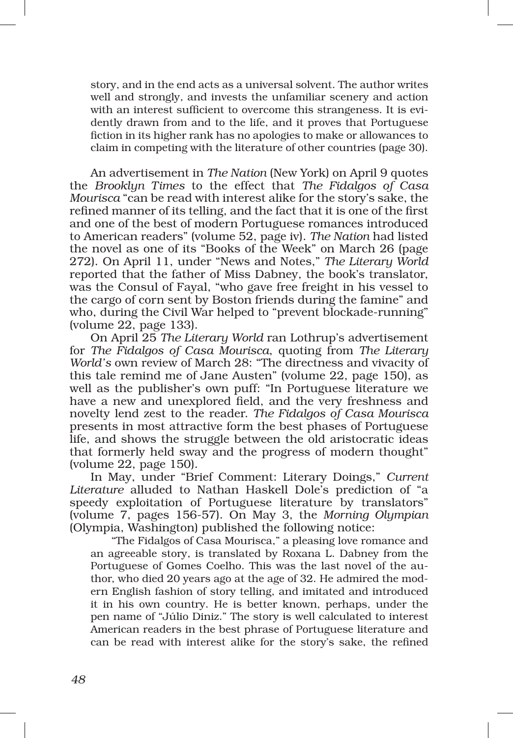story, and in the end acts as a universal solvent. The author writes well and strongly, and invests the unfamiliar scenery and action with an interest sufficient to overcome this strangeness. It is evidently drawn from and to the life, and it proves that Portuguese fiction in its higher rank has no apologies to make or allowances to claim in competing with the literature of other countries (page 30).

An advertisement in *The Nation* (New York) on April 9 quotes the *Brooklyn Times* to the effect that *The Fidalgos of Casa Mourisca* "can be read with interest alike for the story's sake, the refined manner of its telling, and the fact that it is one of the first and one of the best of modern Portuguese romances introduced to American readers" (volume 52, page iv). *The Nation* had listed the novel as one of its "Books of the Week" on March 26 (page 272). On April 11, under "News and Notes," *The Literary World* reported that the father of Miss Dabney, the book's translator, was the Consul of Fayal, "who gave free freight in his vessel to the cargo of corn sent by Boston friends during the famine" and who, during the Civil War helped to "prevent blockade-running" (volume 22, page 133).

On April 25 *The Literary World* ran Lothrup's advertisement for *The Fidalgos of Casa Mourisca*, quoting from *The Literary World's* own review of March 28: "The directness and vivacity of this tale remind me of Jane Austen" (volume 22, page 150), as well as the publisher's own puff: "In Portuguese literature we have a new and unexplored field, and the very freshness and novelty lend zest to the reader. *The Fidalgos of Casa Mourisca*  presents in most attractive form the best phases of Portuguese life, and shows the struggle between the old aristocratic ideas that formerly held sway and the progress of modern thought" (volume 22, page 150).

In May, under "Brief Comment: Literary Doings," *Current Literature* alluded to Nathan Haskell Dole's prediction of "a speedy exploitation of Portuguese literature by translators" (volume 7, pages 156‑57). On May 3, the *Morning Olympian*  (Olympia, Washington) published the following notice:

"The Fidalgos of Casa Mourisca," a pleasing love romance and an agreeable story, is translated by Roxana L. Dabney from the Portuguese of Gomes Coelho. This was the last novel of the author, who died 20 years ago at the age of 32. He admired the modern English fashion of story telling, and imitated and introduced it in his own country. He is better known, perhaps, under the pen name of "Júlio Diniz." The story is well calculated to interest American readers in the best phrase of Portuguese literature and can be read with interest alike for the story's sake, the refined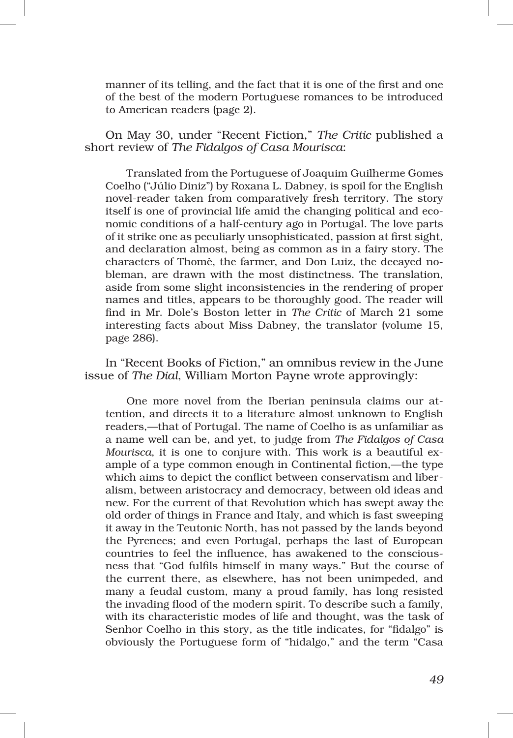manner of its telling, and the fact that it is one of the first and one of the best of the modern Portuguese romances to be introduced to American readers (page 2).

On May 30, under "Recent Fiction," *The Critic* published a short review of *The Fidalgos of Casa Mourisca*:

Translated from the Portuguese of Joaquim Guilherme Gomes Coelho ("Júlio Diniz") by Roxana L. Dabney, is spoil for the English novel-reader taken from comparatively fresh territory. The story itself is one of provincial life amid the changing political and economic conditions of a half‑century ago in Portugal. The love parts of it strike one as peculiarly unsophisticated, passion at first sight, and declaration almost, being as common as in a fairy story. The characters of Thomè, the farmer, and Don Luiz, the decayed nobleman, are drawn with the most distinctness. The translation, aside from some slight inconsistencies in the rendering of proper names and titles, appears to be thoroughly good. The reader will find in Mr. Dole's Boston letter in *The Critic* of March 21 some interesting facts about Miss Dabney, the translator (volume 15, page 286).

In "Recent Books of Fiction," an omnibus review in the June issue of *The Dial*, William Morton Payne wrote approvingly:

One more novel from the Iberian peninsula claims our attention, and directs it to a literature almost unknown to English readers,—that of Portugal. The name of Coelho is as unfamiliar as a name well can be, and yet, to judge from *The Fidalgos of Casa Mourisca*, it is one to conjure with. This work is a beautiful example of a type common enough in Continental fiction,—the type which aims to depict the conflict between conservatism and liber– alism, between aristocracy and democracy, between old ideas and new. For the current of that Revolution which has swept away the old order of things in France and Italy, and which is fast sweeping it away in the Teutonic North, has not passed by the lands beyond the Pyrenees; and even Portugal, perhaps the last of European countries to feel the influence, has awakened to the consciousness that "God fulfils himself in many ways." But the course of the current there, as elsewhere, has not been unimpeded, and many a feudal custom, many a proud family, has long resisted the invading flood of the modern spirit. To describe such a family, with its characteristic modes of life and thought, was the task of Senhor Coelho in this story, as the title indicates, for "fidalgo" is obviously the Portuguese form of "hidalgo," and the term "Casa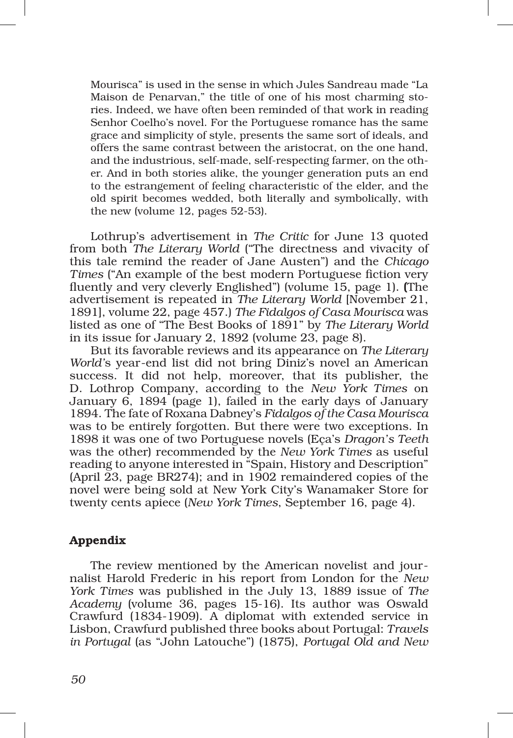Mourisca" is used in the sense in which Jules Sandreau made "La Maison de Penarvan," the title of one of his most charming stories. Indeed, we have often been reminded of that work in reading Senhor Coelho's novel. For the Portuguese romance has the same grace and simplicity of style, presents the same sort of ideals, and offers the same contrast between the aristocrat, on the one hand, and the industrious, self-made, self-respecting farmer, on the other. And in both stories alike, the younger generation puts an end to the estrangement of feeling characteristic of the elder, and the old spirit becomes wedded, both literally and symbolically, with the new (volume 12, pages 52‑53).

Lothrup's advertisement in *The Critic* for June 13 quoted from both *The Literary World* ("The directness and vivacity of this tale remind the reader of Jane Austen") and the *Chicago Times* ("An example of the best modern Portuguese fiction very fluently and very cleverly Englished") (volume 15, page 1). (The advertisement is repeated in *The Literary World* [November 21, 1891], volume 22, page 457.) *The Fidalgos of Casa Mourisca* was listed as one of "The Best Books of 1891" by *The Literary World* in its issue for January 2, 1892 (volume 23, page 8).

But its favorable reviews and its appearance on *The Literary World'*s year‑end list did not bring Diniz's novel an American success. It did not help, moreover, that its publisher, the D. Lothrop Company, according to the *New York Times* on January 6, 1894 (page 1), failed in the early days of January 1894. The fate of Roxana Dabney's *Fidalgos of the Casa Mourisca* was to be entirely forgotten. But there were two exceptions. In 1898 it was one of two Portuguese novels (Eça's *Dragon's Teeth* was the other) recommended by the *New York Times* as useful reading to anyone interested in "Spain, History and Description" (April 23, page BR274); and in 1902 remaindered copies of the novel were being sold at New York City's Wanamaker Store for twenty cents apiece (*New York Times*, September 16, page 4).

## Appendix

The review mentioned by the American novelist and jour– nalist Harold Frederic in his report from London for the *New York Times* was published in the July 13, 1889 issue of *The Academy* (volume 36, pages 15‑16). Its author was Oswald Crawfurd (1834‑1909). A diplomat with extended service in Lisbon, Crawfurd published three books about Portugal: *Travels in Portugal* (as "John Latouche") (1875), *Portugal Old and New*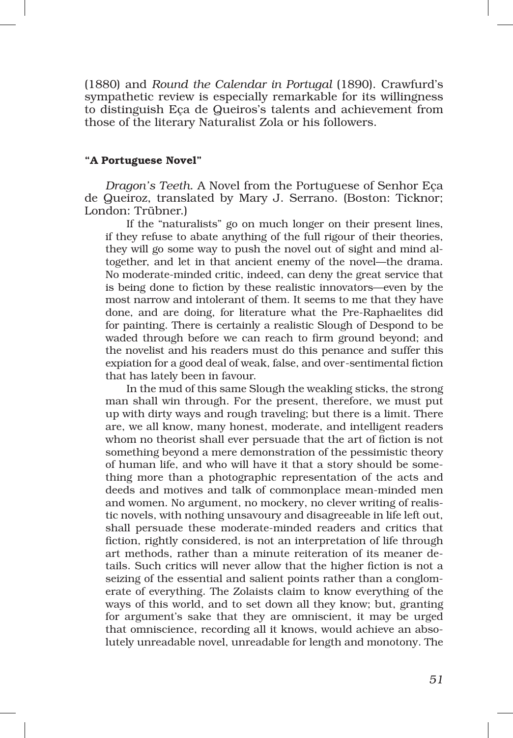(1880) and *Round the Calendar in Portugal* (1890). Crawfurd's sympathetic review is especially remarkable for its willingness to distinguish Eça de Queiros's talents and achievement from those of the literary Naturalist Zola or his followers.

#### "A Portuguese Novel"

*Dragon's Teeth*. A Novel from the Portuguese of Senhor Eça de Queiroz, translated by Mary J. Serrano. (Boston: Ticknor; London: Trübner.)

If the "naturalists" go on much longer on their present lines, if they refuse to abate anything of the full rigour of their theories, they will go some way to push the novel out of sight and mind altogether, and let in that ancient enemy of the novel—the drama. No moderate‑minded critic, indeed, can deny the great service that is being done to fiction by these realistic innovators—even by the most narrow and intolerant of them. It seems to me that they have done, and are doing, for literature what the Pre‑Raphaelites did for painting. There is certainly a realistic Slough of Despond to be waded through before we can reach to firm ground beyond; and the novelist and his readers must do this penance and suffer this expiation for a good deal of weak, false, and over‑sentimental fiction that has lately been in favour.

In the mud of this same Slough the weakling sticks, the strong man shall win through. For the present, therefore, we must put up with dirty ways and rough traveling; but there is a limit. There are, we all know, many honest, moderate, and intelligent readers whom no theorist shall ever persuade that the art of fiction is not something beyond a mere demonstration of the pessimistic theory of human life, and who will have it that a story should be some‑ thing more than a photographic representation of the acts and deeds and motives and talk of commonplace mean‑minded men and women. No argument, no mockery, no clever writing of realistic novels, with nothing unsavoury and disagreeable in life left out, shall persuade these moderate‑minded readers and critics that fiction, rightly considered, is not an interpretation of life through art methods, rather than a minute reiteration of its meaner details. Such critics will never allow that the higher fiction is not a seizing of the essential and salient points rather than a conglomerate of everything. The Zolaists claim to know everything of the ways of this world, and to set down all they know; but, granting for argument's sake that they are omniscient, it may be urged that omniscience, recording all it knows, would achieve an absolutely unreadable novel, unreadable for length and monotony. The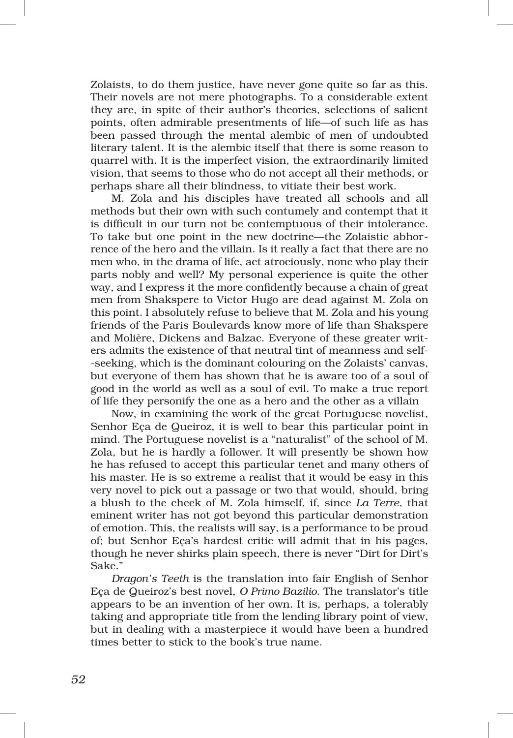Zolaists, to do them justice, have never gone quite so far as this. Their novels are not mere photographs. To a considerable extent they are, in spite of their author's theories, selections of salient points, often admirable presentments of life—of such life as has been passed through the mental alembic of men of undoubted literary talent. It is the alembic itself that there is some reason to quarrel with. It is the imperfect vision, the extraordinarily limited vision, that seems to those who do not accept all their methods, or perhaps share all their blindness, to vitiate their best work.

M. Zola and his disciples have treated all schools and all methods but their own with such contumely and contempt that it is difficult in our turn not be contemptuous of their intolerance. To take but one point in the new doctrine—the Zolaistic abhorrence of the hero and the villain. Is it really a fact that there are no men who, in the drama of life, act atrociously, none who play their parts nobly and well? My personal experience is quite the other way, and I express it the more confidently because a chain of great men from Shakspere to Victor Hugo are dead against M. Zola on this point. I absolutely refuse to believe that M. Zola and his young friends of the Paris Boulevards know more of life than Shakspere and Molière, Dickens and Balzac. Everyone of these greater writers admits the existence of that neutral tint of meanness and self-‑seeking, which is the dominant colouring on the Zolaists' canvas, but everyone of them has shown that he is aware too of a soul of good in the world as well as a soul of evil. To make a true report of life they personify the one as a hero and the other as a villain

Now, in examining the work of the great Portuguese novelist, Senhor Eça de Queiroz, it is well to bear this particular point in mind. The Portuguese novelist is a "naturalist" of the school of M. Zola, but he is hardly a follower. It will presently be shown how he has refused to accept this particular tenet and many others of his master. He is so extreme a realist that it would be easy in this very novel to pick out a passage or two that would, should, bring a blush to the cheek of M. Zola himself, if, since *La Terre*, that eminent writer has not got beyond this particular demonstration of emotion. This, the realists will say, is a performance to be proud of; but Senhor Eça's hardest critic will admit that in his pages, though he never shirks plain speech, there is never "Dirt for Dirt's Sake."

*Dragon's Teeth* is the translation into fair English of Senhor Eça de Queiroz's best novel, *O Primo Bazilio*. The translator's title appears to be an invention of her own. It is, perhaps, a tolerably taking and appropriate title from the lending library point of view, but in dealing with a masterpiece it would have been a hundred times better to stick to the book's true name.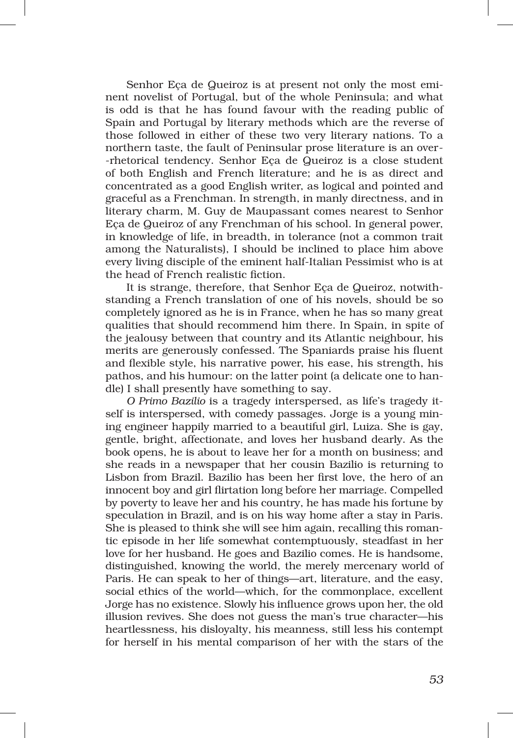Senhor Eca de Queiroz is at present not only the most eminent novelist of Portugal, but of the whole Peninsula; and what is odd is that he has found favour with the reading public of Spain and Portugal by literary methods which are the reverse of those followed in either of these two very literary nations. To a northern taste, the fault of Peninsular prose literature is an over-‑rhetorical tendency. Senhor Eça de Queiroz is a close student of both English and French literature; and he is as direct and concentrated as a good English writer, as logical and pointed and graceful as a Frenchman. In strength, in manly directness, and in literary charm, M. Guy de Maupassant comes nearest to Senhor Eça de Queiroz of any Frenchman of his school. In general power, in knowledge of life, in breadth, in tolerance (not a common trait among the Naturalists), I should be inclined to place him above every living disciple of the eminent half‑Italian Pessimist who is at the head of French realistic fiction.

It is strange, therefore, that Senhor Eca de Queiroz, notwithstanding a French translation of one of his novels, should be so completely ignored as he is in France, when he has so many great qualities that should recommend him there. In Spain, in spite of the jealousy between that country and its Atlantic neighbour, his merits are generously confessed. The Spaniards praise his fluent and flexible style, his narrative power, his ease, his strength, his pathos, and his humour: on the latter point (a delicate one to handle) I shall presently have something to say.

*O Primo Bazilio* is a tragedy interspersed, as life's tragedy it‑ self is interspersed, with comedy passages. Jorge is a young mining engineer happily married to a beautiful girl, Luiza. She is gay, gentle, bright, affectionate, and loves her husband dearly. As the book opens, he is about to leave her for a month on business; and she reads in a newspaper that her cousin Bazilio is returning to Lisbon from Brazil. Bazilio has been her first love, the hero of an innocent boy and girl flirtation long before her marriage. Compelled by poverty to leave her and his country, he has made his fortune by speculation in Brazil, and is on his way home after a stay in Paris. She is pleased to think she will see him again, recalling this romantic episode in her life somewhat contemptuously, steadfast in her love for her husband. He goes and Bazilio comes. He is handsome, distinguished, knowing the world, the merely mercenary world of Paris. He can speak to her of things—art, literature, and the easy, social ethics of the world—which, for the commonplace, excellent Jorge has no existence. Slowly his influence grows upon her, the old illusion revives. She does not guess the man's true character—his heartlessness, his disloyalty, his meanness, still less his contempt for herself in his mental comparison of her with the stars of the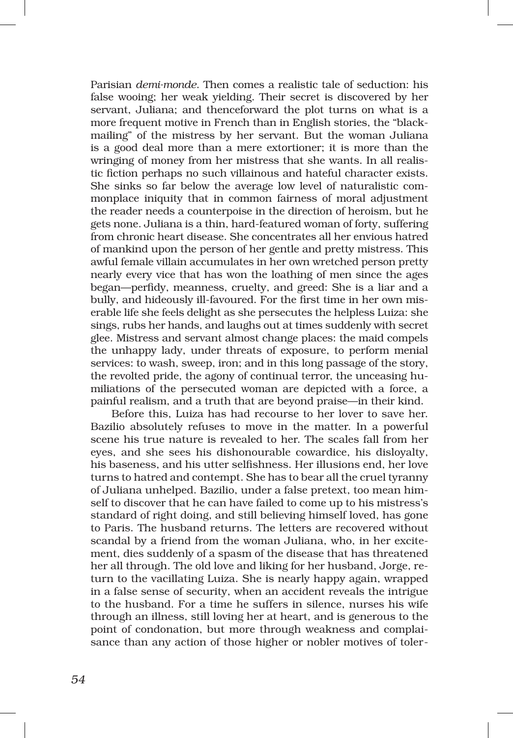Parisian *demi‑monde*. Then comes a realistic tale of seduction: his false wooing; her weak yielding. Their secret is discovered by her servant, Juliana; and thenceforward the plot turns on what is a more frequent motive in French than in English stories, the "blackmailing" of the mistress by her servant. But the woman Juliana is a good deal more than a mere extortioner; it is more than the wringing of money from her mistress that she wants. In all realistic fiction perhaps no such villainous and hateful character exists. She sinks so far below the average low level of naturalistic commonplace iniquity that in common fairness of moral adjustment the reader needs a counterpoise in the direction of heroism, but he gets none. Juliana is a thin, hard-featured woman of forty, suffering from chronic heart disease. She concentrates all her envious hatred of mankind upon the person of her gentle and pretty mistress. This awful female villain accumulates in her own wretched person pretty nearly every vice that has won the loathing of men since the ages began—perfidy, meanness, cruelty, and greed: She is a liar and a bully, and hideously ill-favoured. For the first time in her own miserable life she feels delight as she persecutes the helpless Luiza: she sings, rubs her hands, and laughs out at times suddenly with secret glee. Mistress and servant almost change places: the maid compels the unhappy lady, under threats of exposure, to perform menial services: to wash, sweep, iron; and in this long passage of the story, the revolted pride, the agony of continual terror, the unceasing humiliations of the persecuted woman are depicted with a force, a painful realism, and a truth that are beyond praise—in their kind.

Before this, Luiza has had recourse to her lover to save her. Bazilio absolutely refuses to move in the matter. In a powerful scene his true nature is revealed to her. The scales fall from her eyes, and she sees his dishonourable cowardice, his disloyalty, his baseness, and his utter selfishness. Her illusions end, her love turns to hatred and contempt. She has to bear all the cruel tyranny of Juliana unhelped. Bazilio, under a false pretext, too mean him‑ self to discover that he can have failed to come up to his mistress's standard of right doing, and still believing himself loved, has gone to Paris. The husband returns. The letters are recovered without scandal by a friend from the woman Juliana, who, in her excitement, dies suddenly of a spasm of the disease that has threatened her all through. The old love and liking for her husband, Jorge, return to the vacillating Luiza. She is nearly happy again, wrapped in a false sense of security, when an accident reveals the intrigue to the husband. For a time he suffers in silence, nurses his wife through an illness, still loving her at heart, and is generous to the point of condonation, but more through weakness and complaisance than any action of those higher or nobler motives of toler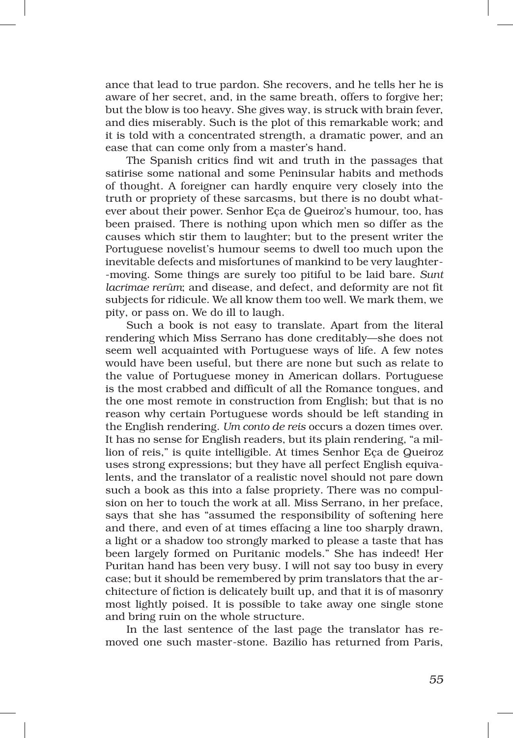ance that lead to true pardon. She recovers, and he tells her he is aware of her secret, and, in the same breath, offers to forgive her; but the blow is too heavy. She gives way, is struck with brain fever, and dies miserably. Such is the plot of this remarkable work; and it is told with a concentrated strength, a dramatic power, and an ease that can come only from a master's hand.

The Spanish critics find wit and truth in the passages that satirise some national and some Peninsular habits and methods of thought. A foreigner can hardly enquire very closely into the truth or propriety of these sarcasms, but there is no doubt whatever about their power. Senhor Eça de Queiroz's humour, too, has been praised. There is nothing upon which men so differ as the causes which stir them to laughter; but to the present writer the Portuguese novelist's humour seems to dwell too much upon the inevitable defects and misfortunes of mankind to be very laughter-‑moving. Some things are surely too pitiful to be laid bare. *Sunt lacrimae rerûm*; and disease, and defect, and deformity are not fit subjects for ridicule. We all know them too well. We mark them, we pity, or pass on. We do ill to laugh.

Such a book is not easy to translate. Apart from the literal rendering which Miss Serrano has done creditably—she does not seem well acquainted with Portuguese ways of life. A few notes would have been useful, but there are none but such as relate to the value of Portuguese money in American dollars. Portuguese is the most crabbed and difficult of all the Romance tongues, and the one most remote in construction from English; but that is no reason why certain Portuguese words should be left standing in the English rendering. *Um conto de reis* occurs a dozen times over. It has no sense for English readers, but its plain rendering, "a mil‑ lion of reis," is quite intelligible. At times Senhor Eça de Queiroz uses strong expressions; but they have all perfect English equivalents, and the translator of a realistic novel should not pare down such a book as this into a false propriety. There was no compulsion on her to touch the work at all. Miss Serrano, in her preface, says that she has "assumed the responsibility of softening here and there, and even of at times effacing a line too sharply drawn, a light or a shadow too strongly marked to please a taste that has been largely formed on Puritanic models." She has indeed! Her Puritan hand has been very busy. I will not say too busy in every case; but it should be remembered by prim translators that the architecture of fiction is delicately built up, and that it is of masonry most lightly poised. It is possible to take away one single stone and bring ruin on the whole structure.

In the last sentence of the last page the translator has removed one such master‑stone. Bazilio has returned from Paris,